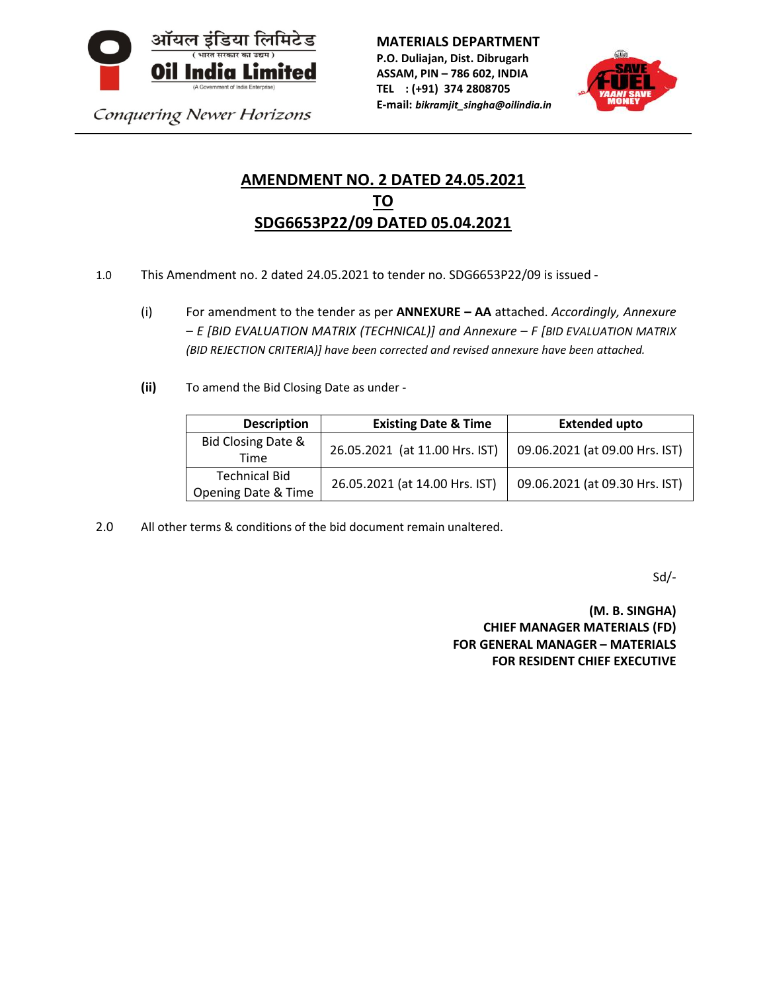

Conquering Newer Horizons

**MATERIALS DEPARTMENT P.O. Duliajan, Dist. Dibrugarh ASSAM, PIN – 786 602, INDIA TEL : (+91) 374 2808705**

**E-mail:** *bikramjit\_singha@oilindia.in*



# **AMENDMENT NO. 2 DATED 24.05.2021 TO SDG6653P22/09 DATED 05.04.2021**

- 1.0 This Amendment no. 2 dated 24.05.2021 to tender no. SDG6653P22/09 is issued
	- (i) For amendment to the tender as per **ANNEXURE – AA** attached. *Accordingly, Annexure – E [BID EVALUATION MATRIX (TECHNICAL)] and Annexure – F [BID EVALUATION MATRIX (BID REJECTION CRITERIA)] have been corrected and revised annexure have been attached.*
	- **(ii)** To amend the Bid Closing Date as under -

| <b>Description</b>                                     | <b>Existing Date &amp; Time</b> | <b>Extended upto</b>           |  |
|--------------------------------------------------------|---------------------------------|--------------------------------|--|
| Bid Closing Date &<br>Time                             | 26.05.2021 (at 11.00 Hrs. IST)  | 09.06.2021 (at 09.00 Hrs. IST) |  |
| <b>Technical Bid</b><br><b>Opening Date &amp; Time</b> | 26.05.2021 (at 14.00 Hrs. IST)  | 09.06.2021 (at 09.30 Hrs. IST) |  |

2.0 All other terms & conditions of the bid document remain unaltered.

Sd/-

**(M. B. SINGHA) CHIEF MANAGER MATERIALS (FD) FOR GENERAL MANAGER – MATERIALS FOR RESIDENT CHIEF EXECUTIVE**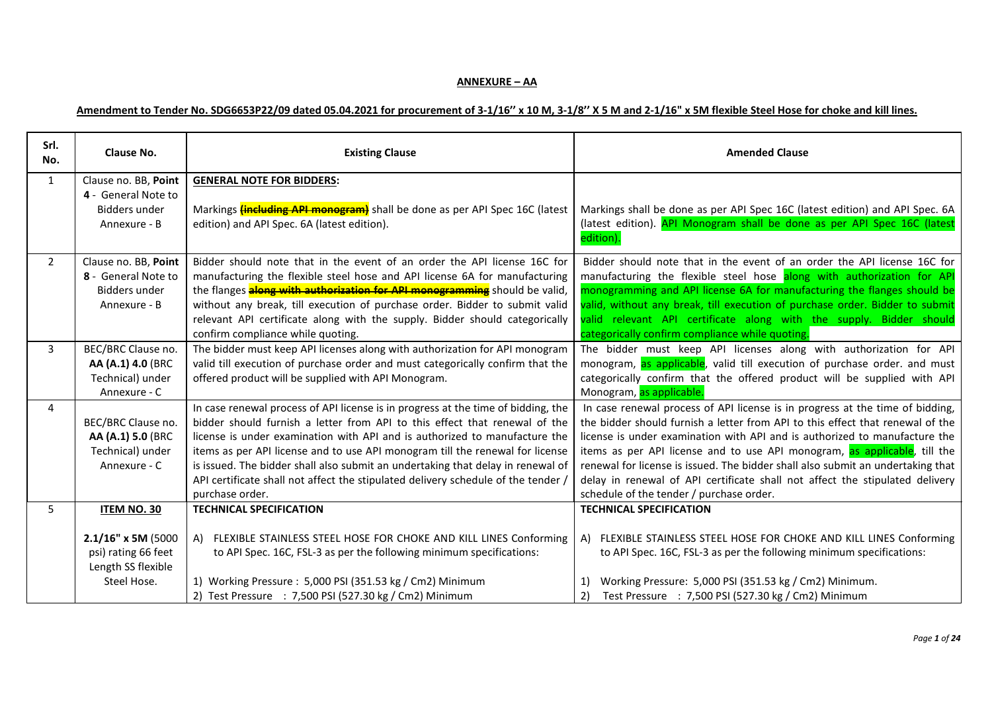### **ANNEXURE – AA**

## **Amendment to Tender No. SDG6653P22/09 dated 05.04.2021 for procurement of 3-1/16'' x 10 M, 3-1/8'' X 5 M and 2-1/16" x 5M flexible Steel Hose for choke and kill lines.**

| Srl.<br>No.    | Clause No.                                                                                    | <b>Existing Clause</b>                                                                                                                                                                                                                                                                                                                                                                                                                                                                                                    | <b>Amended Clause</b>                                                                                                                                                                                                                                                                                                                                                                                                                                                                                                                     |  |
|----------------|-----------------------------------------------------------------------------------------------|---------------------------------------------------------------------------------------------------------------------------------------------------------------------------------------------------------------------------------------------------------------------------------------------------------------------------------------------------------------------------------------------------------------------------------------------------------------------------------------------------------------------------|-------------------------------------------------------------------------------------------------------------------------------------------------------------------------------------------------------------------------------------------------------------------------------------------------------------------------------------------------------------------------------------------------------------------------------------------------------------------------------------------------------------------------------------------|--|
| $\mathbf{1}$   | Clause no. BB, Point<br>4 - General Note to<br>Bidders under<br>Annexure - B                  | <b>GENERAL NOTE FOR BIDDERS:</b><br>Markings <b>(including API monogram)</b> shall be done as per API Spec 16C (latest<br>edition) and API Spec. 6A (latest edition).                                                                                                                                                                                                                                                                                                                                                     | Markings shall be done as per API Spec 16C (latest edition) and API Spec. 6A<br>(latest edition). API Monogram shall be done as per API Spec 16C (latest                                                                                                                                                                                                                                                                                                                                                                                  |  |
|                |                                                                                               |                                                                                                                                                                                                                                                                                                                                                                                                                                                                                                                           | edition).                                                                                                                                                                                                                                                                                                                                                                                                                                                                                                                                 |  |
| $2^{\circ}$    | Clause no. BB, Point<br>8 - General Note to<br><b>Bidders under</b><br>Annexure - B           | Bidder should note that in the event of an order the API license 16C for<br>manufacturing the flexible steel hose and API license 6A for manufacturing<br>the flanges <b>along with authorization for API monogramming</b> should be valid,<br>without any break, till execution of purchase order. Bidder to submit valid<br>relevant API certificate along with the supply. Bidder should categorically<br>confirm compliance while quoting.                                                                            | Bidder should note that in the event of an order the API license 16C for<br>manufacturing the flexible steel hose along with authorization for API<br>monogramming and API license 6A for manufacturing the flanges should be<br>valid, without any break, till execution of purchase order. Bidder to submit<br>valid relevant API certificate along with the supply. Bidder should<br>categorically confirm compliance while quoting.                                                                                                   |  |
| $\overline{3}$ | BEC/BRC Clause no.<br>AA (A.1) 4.0 (BRC<br>Technical) under<br>Annexure - C                   | The bidder must keep API licenses along with authorization for API monogram<br>valid till execution of purchase order and must categorically confirm that the<br>offered product will be supplied with API Monogram.                                                                                                                                                                                                                                                                                                      | The bidder must keep API licenses along with authorization for API<br>monogram, as applicable, valid till execution of purchase order. and must<br>categorically confirm that the offered product will be supplied with API<br>Monogram, as applicable.                                                                                                                                                                                                                                                                                   |  |
| 4              | BEC/BRC Clause no.<br>AA (A.1) 5.0 (BRC<br>Technical) under<br>Annexure - C                   | In case renewal process of API license is in progress at the time of bidding, the<br>bidder should furnish a letter from API to this effect that renewal of the<br>license is under examination with API and is authorized to manufacture the<br>items as per API license and to use API monogram till the renewal for license<br>is issued. The bidder shall also submit an undertaking that delay in renewal of<br>API certificate shall not affect the stipulated delivery schedule of the tender /<br>purchase order. | In case renewal process of API license is in progress at the time of bidding,<br>the bidder should furnish a letter from API to this effect that renewal of the<br>license is under examination with API and is authorized to manufacture the<br>items as per API license and to use API monogram, as applicable, till the<br>renewal for license is issued. The bidder shall also submit an undertaking that<br>delay in renewal of API certificate shall not affect the stipulated delivery<br>schedule of the tender / purchase order. |  |
| 5              | ITEM NO. 30<br>2.1/16" x 5M (5000<br>psi) rating 66 feet<br>Length SS flexible<br>Steel Hose. | <b>TECHNICAL SPECIFICATION</b><br>A) FLEXIBLE STAINLESS STEEL HOSE FOR CHOKE AND KILL LINES Conforming<br>to API Spec. 16C, FSL-3 as per the following minimum specifications:<br>1) Working Pressure: 5,000 PSI (351.53 kg / Cm2) Minimum<br>2) Test Pressure : 7,500 PSI (527.30 kg / Cm2) Minimum                                                                                                                                                                                                                      | <b>TECHNICAL SPECIFICATION</b><br>FLEXIBLE STAINLESS STEEL HOSE FOR CHOKE AND KILL LINES Conforming<br>A)<br>to API Spec. 16C, FSL-3 as per the following minimum specifications:<br>Working Pressure: 5,000 PSI (351.53 kg / Cm2) Minimum.<br>1)<br>2)<br>Test Pressure : 7,500 PSI (527.30 kg / Cm2) Minimum                                                                                                                                                                                                                            |  |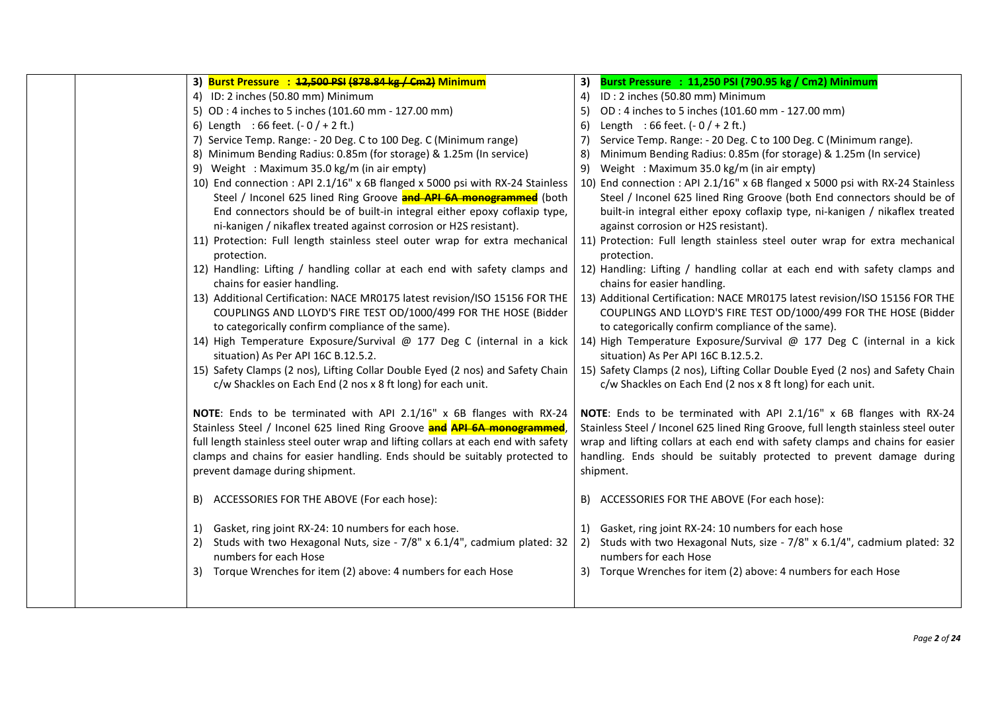|  | 3) Burst Pressure : 42,500 PSI (878.84 kg / Cm2) Minimum                                                                                                                                             | Burst Pressure : 11,250 PSI (790.95 kg / Cm2) Minimum<br>3)                                                                                                                                          |
|--|------------------------------------------------------------------------------------------------------------------------------------------------------------------------------------------------------|------------------------------------------------------------------------------------------------------------------------------------------------------------------------------------------------------|
|  | 4) ID: 2 inches (50.80 mm) Minimum                                                                                                                                                                   | ID: 2 inches (50.80 mm) Minimum<br>4)                                                                                                                                                                |
|  | 5) OD: 4 inches to 5 inches (101.60 mm - 127.00 mm)                                                                                                                                                  | OD: 4 inches to 5 inches (101.60 mm - 127.00 mm)<br>5)                                                                                                                                               |
|  | 6) Length : 66 feet. $(-0/+2$ ft.)                                                                                                                                                                   | Length : 66 feet. $(-0/+2$ ft.)<br>6)                                                                                                                                                                |
|  | 7) Service Temp. Range: - 20 Deg. C to 100 Deg. C (Minimum range)                                                                                                                                    | Service Temp. Range: - 20 Deg. C to 100 Deg. C (Minimum range).<br>7)                                                                                                                                |
|  | 8) Minimum Bending Radius: 0.85m (for storage) & 1.25m (In service)                                                                                                                                  | Minimum Bending Radius: 0.85m (for storage) & 1.25m (In service)<br>8)                                                                                                                               |
|  | 9) Weight : Maximum 35.0 kg/m (in air empty)                                                                                                                                                         | Weight: Maximum 35.0 kg/m (in air empty)<br>9)                                                                                                                                                       |
|  | 10) End connection : API 2.1/16" x 6B flanged x 5000 psi with RX-24 Stainless                                                                                                                        | 10) End connection : API 2.1/16" x 6B flanged x 5000 psi with RX-24 Stainless                                                                                                                        |
|  | Steel / Inconel 625 lined Ring Groove and API 6A monogrammed (both                                                                                                                                   | Steel / Inconel 625 lined Ring Groove (both End connectors should be of                                                                                                                              |
|  | End connectors should be of built-in integral either epoxy coflaxip type,                                                                                                                            | built-in integral either epoxy coflaxip type, ni-kanigen / nikaflex treated                                                                                                                          |
|  | ni-kanigen / nikaflex treated against corrosion or H2S resistant).                                                                                                                                   | against corrosion or H2S resistant).                                                                                                                                                                 |
|  | 11) Protection: Full length stainless steel outer wrap for extra mechanical<br>protection.                                                                                                           | 11) Protection: Full length stainless steel outer wrap for extra mechanical<br>protection.                                                                                                           |
|  | 12) Handling: Lifting / handling collar at each end with safety clamps and<br>chains for easier handling.                                                                                            | 12) Handling: Lifting / handling collar at each end with safety clamps and<br>chains for easier handling.                                                                                            |
|  | 13) Additional Certification: NACE MR0175 latest revision/ISO 15156 FOR THE<br>COUPLINGS AND LLOYD'S FIRE TEST OD/1000/499 FOR THE HOSE (Bidder<br>to categorically confirm compliance of the same). | 13) Additional Certification: NACE MR0175 latest revision/ISO 15156 FOR THE<br>COUPLINGS AND LLOYD'S FIRE TEST OD/1000/499 FOR THE HOSE (Bidder<br>to categorically confirm compliance of the same). |
|  | 14) High Temperature Exposure/Survival @ 177 Deg C (internal in a kick                                                                                                                               | 14) High Temperature Exposure/Survival @ 177 Deg C (internal in a kick                                                                                                                               |
|  | situation) As Per API 16C B.12.5.2.                                                                                                                                                                  | situation) As Per API 16C B.12.5.2.                                                                                                                                                                  |
|  | 15) Safety Clamps (2 nos), Lifting Collar Double Eyed (2 nos) and Safety Chain<br>c/w Shackles on Each End (2 nos x 8 ft long) for each unit.                                                        | 15) Safety Clamps (2 nos), Lifting Collar Double Eyed (2 nos) and Safety Chain<br>c/w Shackles on Each End (2 nos x 8 ft long) for each unit.                                                        |
|  | NOTE: Ends to be terminated with API 2.1/16" x 6B flanges with RX-24                                                                                                                                 | NOTE: Ends to be terminated with API 2.1/16" x 6B flanges with RX-24                                                                                                                                 |
|  | Stainless Steel / Inconel 625 lined Ring Groove and API 6A monogrammed,                                                                                                                              | Stainless Steel / Inconel 625 lined Ring Groove, full length stainless steel outer                                                                                                                   |
|  | full length stainless steel outer wrap and lifting collars at each end with safety                                                                                                                   | wrap and lifting collars at each end with safety clamps and chains for easier                                                                                                                        |
|  | clamps and chains for easier handling. Ends should be suitably protected to                                                                                                                          | handling. Ends should be suitably protected to prevent damage during                                                                                                                                 |
|  | prevent damage during shipment.                                                                                                                                                                      | shipment.                                                                                                                                                                                            |
|  | B) ACCESSORIES FOR THE ABOVE (For each hose):                                                                                                                                                        | B) ACCESSORIES FOR THE ABOVE (For each hose):                                                                                                                                                        |
|  | 1) Gasket, ring joint RX-24: 10 numbers for each hose.                                                                                                                                               | 1) Gasket, ring joint RX-24: 10 numbers for each hose                                                                                                                                                |
|  | Studs with two Hexagonal Nuts, size - 7/8" x 6.1/4", cadmium plated: 32<br>2)                                                                                                                        | Studs with two Hexagonal Nuts, size - 7/8" x 6.1/4", cadmium plated: 32                                                                                                                              |
|  | numbers for each Hose                                                                                                                                                                                | numbers for each Hose                                                                                                                                                                                |
|  | 3) Torque Wrenches for item (2) above: 4 numbers for each Hose                                                                                                                                       | 3) Torque Wrenches for item (2) above: 4 numbers for each Hose                                                                                                                                       |
|  |                                                                                                                                                                                                      |                                                                                                                                                                                                      |
|  |                                                                                                                                                                                                      |                                                                                                                                                                                                      |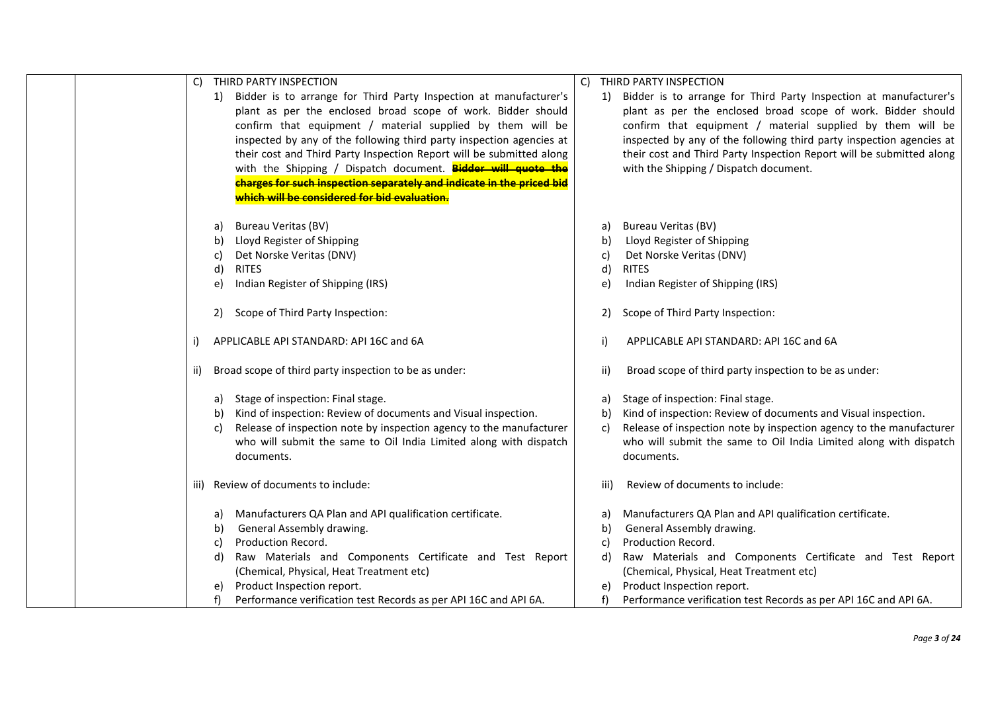| THIRD PARTY INSPECTION<br>C)                                              | THIRD PARTY INSPECTION<br>C)                                              |
|---------------------------------------------------------------------------|---------------------------------------------------------------------------|
| Bidder is to arrange for Third Party Inspection at manufacturer's<br>1)   | 1) Bidder is to arrange for Third Party Inspection at manufacturer's      |
| plant as per the enclosed broad scope of work. Bidder should              | plant as per the enclosed broad scope of work. Bidder should              |
| confirm that equipment / material supplied by them will be                | confirm that equipment / material supplied by them will be                |
|                                                                           |                                                                           |
| inspected by any of the following third party inspection agencies at      | inspected by any of the following third party inspection agencies at      |
| their cost and Third Party Inspection Report will be submitted along      | their cost and Third Party Inspection Report will be submitted along      |
| with the Shipping / Dispatch document. Bidder will quote the              | with the Shipping / Dispatch document.                                    |
| charges for such inspection separately and indicate in the priced bid     |                                                                           |
| which will be considered for bid evaluation.                              |                                                                           |
| <b>Bureau Veritas (BV)</b><br>a)                                          | <b>Bureau Veritas (BV)</b><br>a)                                          |
| Lloyd Register of Shipping<br>b)                                          | Lloyd Register of Shipping<br>b)                                          |
| Det Norske Veritas (DNV)<br>C)                                            | Det Norske Veritas (DNV)<br>C)                                            |
| <b>RITES</b><br>d)                                                        | <b>RITES</b><br>d)                                                        |
| Indian Register of Shipping (IRS)<br>e)                                   | Indian Register of Shipping (IRS)<br>e)                                   |
|                                                                           |                                                                           |
| Scope of Third Party Inspection:<br>2)                                    | Scope of Third Party Inspection:<br>2)                                    |
| APPLICABLE API STANDARD: API 16C and 6A<br>j)                             | i)<br>APPLICABLE API STANDARD: API 16C and 6A                             |
|                                                                           |                                                                           |
| Broad scope of third party inspection to be as under:<br>ii)              | Broad scope of third party inspection to be as under:<br>ii)              |
| Stage of inspection: Final stage.<br>a)                                   | Stage of inspection: Final stage.<br>a)                                   |
| Kind of inspection: Review of documents and Visual inspection.<br>b)      | Kind of inspection: Review of documents and Visual inspection.<br>b)      |
| Release of inspection note by inspection agency to the manufacturer<br>C) | Release of inspection note by inspection agency to the manufacturer<br>C) |
| who will submit the same to Oil India Limited along with dispatch         | who will submit the same to Oil India Limited along with dispatch         |
| documents.                                                                | documents.                                                                |
|                                                                           |                                                                           |
| iii) Review of documents to include:                                      | Review of documents to include:<br>iii)                                   |
|                                                                           |                                                                           |
| Manufacturers QA Plan and API qualification certificate.<br>a)            | Manufacturers QA Plan and API qualification certificate.<br>a)            |
| General Assembly drawing.<br>b)                                           | General Assembly drawing.<br>b)                                           |
| Production Record.<br>C)                                                  | Production Record.                                                        |
| Raw Materials and Components Certificate and Test Report<br>d)            | Raw Materials and Components Certificate and Test Report<br>d)            |
| (Chemical, Physical, Heat Treatment etc)                                  | (Chemical, Physical, Heat Treatment etc)                                  |
| Product Inspection report.                                                | Product Inspection report.<br>e)                                          |
| Performance verification test Records as per API 16C and API 6A.          | Performance verification test Records as per API 16C and API 6A.          |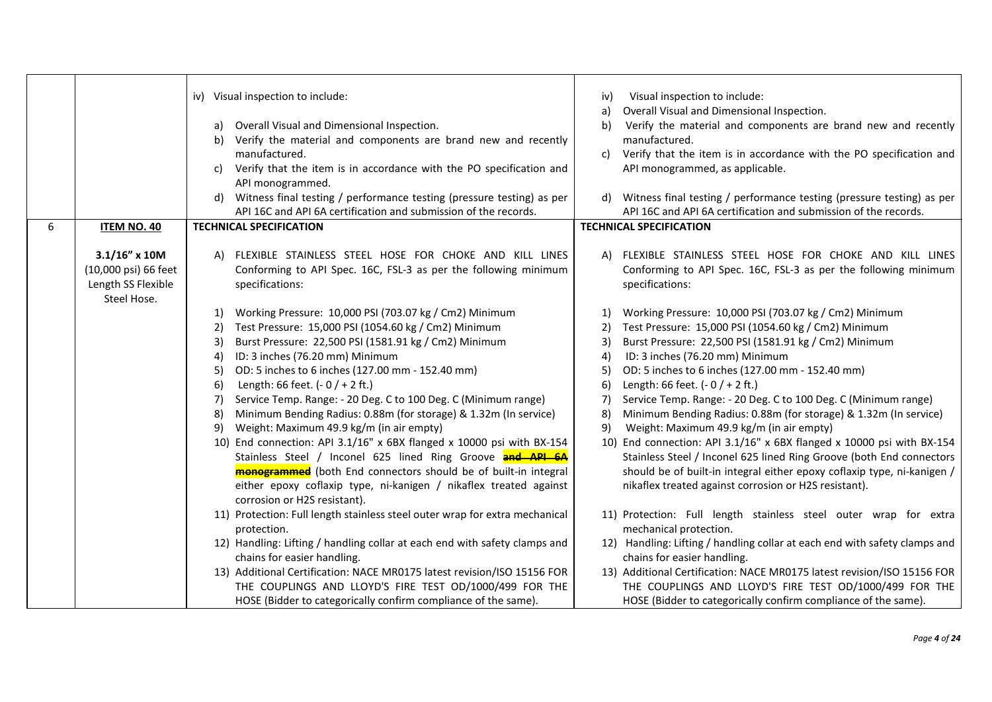|   |                      | iv) Visual inspection to include:<br>Visual inspection to include:<br>iv)                                                                                |
|---|----------------------|----------------------------------------------------------------------------------------------------------------------------------------------------------|
|   |                      | Overall Visual and Dimensional Inspection.<br>a)                                                                                                         |
|   |                      | Overall Visual and Dimensional Inspection.<br>Verify the material and components are brand new and recently<br>b)<br>a)                                  |
|   |                      | b) Verify the material and components are brand new and recently<br>manufactured.                                                                        |
|   |                      | manufactured.<br>Verify that the item is in accordance with the PO specification and<br>C)                                                               |
|   |                      | Verify that the item is in accordance with the PO specification and<br>API monogrammed, as applicable.<br>C)                                             |
|   |                      | API monogrammed.                                                                                                                                         |
|   |                      | Witness final testing / performance testing (pressure testing) as per<br>d) Witness final testing / performance testing (pressure testing) as per<br>d)  |
|   |                      | API 16C and API 6A certification and submission of the records.<br>API 16C and API 6A certification and submission of the records.                       |
| 6 | <b>ITEM NO. 40</b>   | <b>TECHNICAL SPECIFICATION</b><br><b>TECHNICAL SPECIFICATION</b>                                                                                         |
|   |                      |                                                                                                                                                          |
|   | $3.1/16''$ x 10M     | A) FLEXIBLE STAINLESS STEEL HOSE FOR CHOKE AND KILL LINES<br>A) FLEXIBLE STAINLESS STEEL HOSE FOR CHOKE AND KILL LINES                                   |
|   | (10,000 psi) 66 feet | Conforming to API Spec. 16C, FSL-3 as per the following minimum<br>Conforming to API Spec. 16C, FSL-3 as per the following minimum                       |
|   | Length SS Flexible   | specifications:<br>specifications:                                                                                                                       |
|   | Steel Hose.          |                                                                                                                                                          |
|   |                      | Working Pressure: 10,000 PSI (703.07 kg / Cm2) Minimum<br>Working Pressure: 10,000 PSI (703.07 kg / Cm2) Minimum<br>1)<br>1)                             |
|   |                      | Test Pressure: 15,000 PSI (1054.60 kg / Cm2) Minimum<br>Test Pressure: 15,000 PSI (1054.60 kg / Cm2) Minimum<br>2)<br>2)                                 |
|   |                      | Burst Pressure: 22,500 PSI (1581.91 kg / Cm2) Minimum<br>Burst Pressure: 22,500 PSI (1581.91 kg / Cm2) Minimum<br>3)<br>3)                               |
|   |                      | ID: 3 inches (76.20 mm) Minimum<br>ID: 3 inches (76.20 mm) Minimum<br>4)<br>4)                                                                           |
|   |                      | OD: 5 inches to 6 inches (127.00 mm - 152.40 mm)<br>OD: 5 inches to 6 inches (127.00 mm - 152.40 mm)<br>5)<br>5)                                         |
|   |                      | Length: 66 feet. $(-0)$ + 2 ft.)<br>Length: 66 feet. $(-0)$ + 2 ft.)<br>6)<br>6)                                                                         |
|   |                      | Service Temp. Range: - 20 Deg. C to 100 Deg. C (Minimum range)<br>Service Temp. Range: - 20 Deg. C to 100 Deg. C (Minimum range)<br>7)<br>7)             |
|   |                      | Minimum Bending Radius: 0.88m (for storage) & 1.32m (In service)<br>Minimum Bending Radius: 0.88m (for storage) & 1.32m (In service)<br>8)<br>8)         |
|   |                      | Weight: Maximum 49.9 kg/m (in air empty)<br>Weight: Maximum 49.9 kg/m (in air empty)<br>9)<br>9)                                                         |
|   |                      | 10) End connection: API 3.1/16" x 6BX flanged x 10000 psi with BX-154<br>10) End connection: API 3.1/16" x 6BX flanged x 10000 psi with BX-154           |
|   |                      | Stainless Steel / Inconel 625 lined Ring Groove and API 6A<br>Stainless Steel / Inconel 625 lined Ring Groove (both End connectors                       |
|   |                      | <b>monogrammed</b> (both End connectors should be of built-in integral<br>should be of built-in integral either epoxy coflaxip type, ni-kanigen /        |
|   |                      | either epoxy coflaxip type, ni-kanigen / nikaflex treated against<br>nikaflex treated against corrosion or H2S resistant).                               |
|   |                      | corrosion or H2S resistant).                                                                                                                             |
|   |                      | 11) Protection: Full length stainless steel outer wrap for extra mechanical<br>11) Protection: Full length stainless steel outer wrap for extra          |
|   |                      | mechanical protection.<br>protection.                                                                                                                    |
|   |                      | 12) Handling: Lifting / handling collar at each end with safety clamps and<br>12) Handling: Lifting / handling collar at each end with safety clamps and |
|   |                      | chains for easier handling.<br>chains for easier handling.                                                                                               |
|   |                      | 13) Additional Certification: NACE MR0175 latest revision/ISO 15156 FOR<br>13) Additional Certification: NACE MR0175 latest revision/ISO 15156 FOR       |
|   |                      | THE COUPLINGS AND LLOYD'S FIRE TEST OD/1000/499 FOR THE<br>THE COUPLINGS AND LLOYD'S FIRE TEST OD/1000/499 FOR THE                                       |
|   |                      | HOSE (Bidder to categorically confirm compliance of the same).<br>HOSE (Bidder to categorically confirm compliance of the same).                         |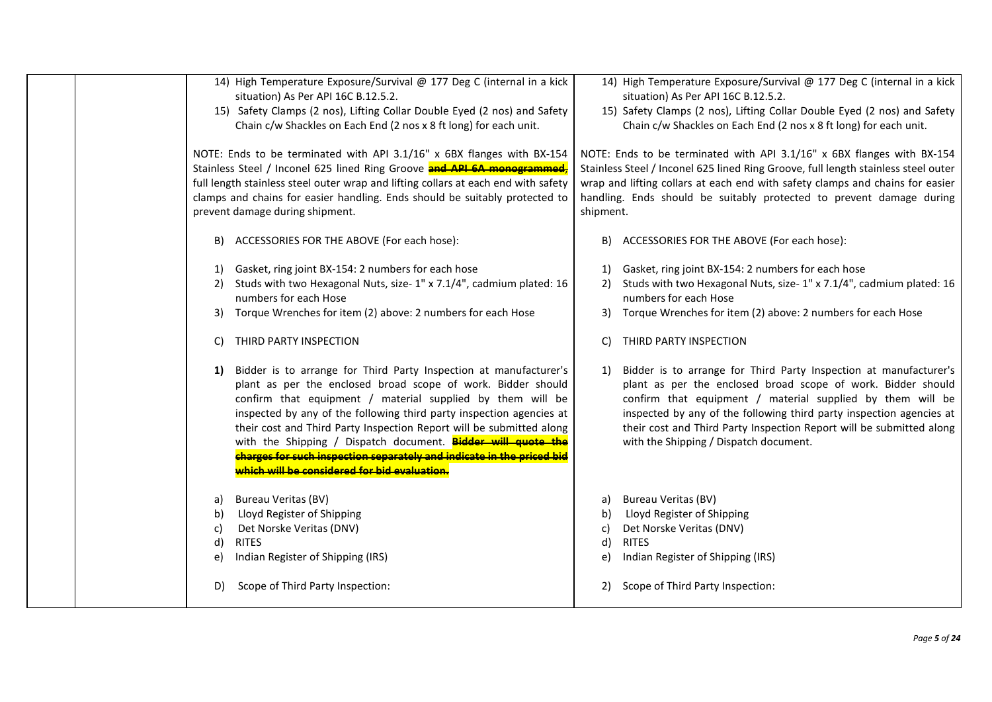| 14) High Temperature Exposure/Survival @ 177 Deg C (internal in a kick<br>situation) As Per API 16C B.12.5.2.<br>15) Safety Clamps (2 nos), Lifting Collar Double Eyed (2 nos) and Safety<br>Chain c/w Shackles on Each End (2 nos x 8 ft long) for each unit.                                                                                                                                                                                                                                                                                 | 14) High Temperature Exposure/Survival @ 177 Deg C (internal in a kick<br>situation) As Per API 16C B.12.5.2.<br>15) Safety Clamps (2 nos), Lifting Collar Double Eyed (2 nos) and Safety<br>Chain c/w Shackles on Each End (2 nos x 8 ft long) for each unit.                                                                                                                                  |  |  |
|------------------------------------------------------------------------------------------------------------------------------------------------------------------------------------------------------------------------------------------------------------------------------------------------------------------------------------------------------------------------------------------------------------------------------------------------------------------------------------------------------------------------------------------------|-------------------------------------------------------------------------------------------------------------------------------------------------------------------------------------------------------------------------------------------------------------------------------------------------------------------------------------------------------------------------------------------------|--|--|
| NOTE: Ends to be terminated with API 3.1/16" x 6BX flanges with BX-154<br>Stainless Steel / Inconel 625 lined Ring Groove and API 6A monogrammed,<br>full length stainless steel outer wrap and lifting collars at each end with safety<br>clamps and chains for easier handling. Ends should be suitably protected to<br>prevent damage during shipment.                                                                                                                                                                                      | NOTE: Ends to be terminated with API 3.1/16" x 6BX flanges with BX-154<br>Stainless Steel / Inconel 625 lined Ring Groove, full length stainless steel outer<br>wrap and lifting collars at each end with safety clamps and chains for easier<br>handling. Ends should be suitably protected to prevent damage during<br>shipment.                                                              |  |  |
| ACCESSORIES FOR THE ABOVE (For each hose):<br>B)                                                                                                                                                                                                                                                                                                                                                                                                                                                                                               | ACCESSORIES FOR THE ABOVE (For each hose):<br>B)                                                                                                                                                                                                                                                                                                                                                |  |  |
| Gasket, ring joint BX-154: 2 numbers for each hose<br>1)<br>Studs with two Hexagonal Nuts, size- 1" x 7.1/4", cadmium plated: 16<br>2)<br>numbers for each Hose                                                                                                                                                                                                                                                                                                                                                                                | Gasket, ring joint BX-154: 2 numbers for each hose<br>1)<br>Studs with two Hexagonal Nuts, size- 1" x 7.1/4", cadmium plated: 16<br>2)<br>numbers for each Hose                                                                                                                                                                                                                                 |  |  |
| Torque Wrenches for item (2) above: 2 numbers for each Hose<br>3)<br>THIRD PARTY INSPECTION<br>C)                                                                                                                                                                                                                                                                                                                                                                                                                                              | Torque Wrenches for item (2) above: 2 numbers for each Hose<br>3)<br>THIRD PARTY INSPECTION<br>C)                                                                                                                                                                                                                                                                                               |  |  |
| Bidder is to arrange for Third Party Inspection at manufacturer's<br>1)<br>plant as per the enclosed broad scope of work. Bidder should<br>confirm that equipment / material supplied by them will be<br>inspected by any of the following third party inspection agencies at<br>their cost and Third Party Inspection Report will be submitted along<br>with the Shipping / Dispatch document. Bidder will quote the<br>charges for such inspection separately and indicate in the priced bid<br>which will be considered for bid evaluation. | Bidder is to arrange for Third Party Inspection at manufacturer's<br>1)<br>plant as per the enclosed broad scope of work. Bidder should<br>confirm that equipment / material supplied by them will be<br>inspected by any of the following third party inspection agencies at<br>their cost and Third Party Inspection Report will be submitted along<br>with the Shipping / Dispatch document. |  |  |
| <b>Bureau Veritas (BV)</b><br>a)<br>Lloyd Register of Shipping<br>b)<br>Det Norske Veritas (DNV)<br>c)<br>d)<br><b>RITES</b><br>Indian Register of Shipping (IRS)<br>e)                                                                                                                                                                                                                                                                                                                                                                        | <b>Bureau Veritas (BV)</b><br>a)<br>Lloyd Register of Shipping<br>b)<br>Det Norske Veritas (DNV)<br>c)<br><b>RITES</b><br>d)<br>Indian Register of Shipping (IRS)<br>e)                                                                                                                                                                                                                         |  |  |
| Scope of Third Party Inspection:<br>D)                                                                                                                                                                                                                                                                                                                                                                                                                                                                                                         | Scope of Third Party Inspection:<br>2)                                                                                                                                                                                                                                                                                                                                                          |  |  |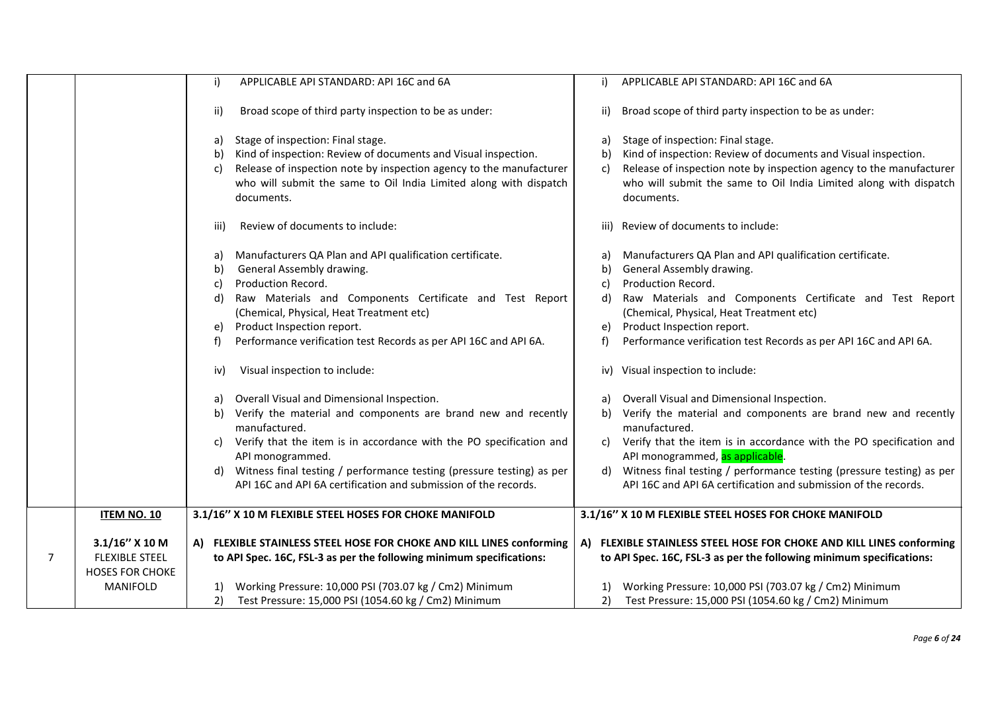|                |                        | APPLICABLE API STANDARD: API 16C and 6A<br>i)                                                                                                                | APPLICABLE API STANDARD: API 16C and 6A<br>i)                                                                                                                |
|----------------|------------------------|--------------------------------------------------------------------------------------------------------------------------------------------------------------|--------------------------------------------------------------------------------------------------------------------------------------------------------------|
|                |                        | Broad scope of third party inspection to be as under:<br>ii)                                                                                                 | Broad scope of third party inspection to be as under:<br>ii)                                                                                                 |
|                |                        | Stage of inspection: Final stage.<br>a)<br>Kind of inspection: Review of documents and Visual inspection.<br>b)                                              | Stage of inspection: Final stage.<br>a)<br>Kind of inspection: Review of documents and Visual inspection.<br>b)                                              |
|                |                        | Release of inspection note by inspection agency to the manufacturer<br>c)<br>who will submit the same to Oil India Limited along with dispatch<br>documents. | Release of inspection note by inspection agency to the manufacturer<br>C)<br>who will submit the same to Oil India Limited along with dispatch<br>documents. |
|                |                        | Review of documents to include:<br>iii)                                                                                                                      | iii) Review of documents to include:                                                                                                                         |
|                |                        | Manufacturers QA Plan and API qualification certificate.<br>a)<br>General Assembly drawing.<br>b)                                                            | Manufacturers QA Plan and API qualification certificate.<br>a)<br>General Assembly drawing.<br>b)                                                            |
|                |                        | Production Record.<br>c)                                                                                                                                     | Production Record.<br>C)                                                                                                                                     |
|                |                        | Raw Materials and Components Certificate and Test Report<br>d)                                                                                               | Raw Materials and Components Certificate and Test Report<br>d)                                                                                               |
|                |                        | (Chemical, Physical, Heat Treatment etc)                                                                                                                     | (Chemical, Physical, Heat Treatment etc)                                                                                                                     |
|                |                        | Product Inspection report.<br>e)                                                                                                                             | Product Inspection report.<br>e)                                                                                                                             |
|                |                        | Performance verification test Records as per API 16C and API 6A.<br>f)                                                                                       | Performance verification test Records as per API 16C and API 6A.<br>f)                                                                                       |
|                |                        | Visual inspection to include:<br>iv)                                                                                                                         | iv) Visual inspection to include:                                                                                                                            |
|                |                        | Overall Visual and Dimensional Inspection.<br>a)                                                                                                             | Overall Visual and Dimensional Inspection.                                                                                                                   |
|                |                        | Verify the material and components are brand new and recently<br>b)<br>manufactured.                                                                         | Verify the material and components are brand new and recently<br>b)<br>manufactured.                                                                         |
|                |                        | Verify that the item is in accordance with the PO specification and<br>C)<br>API monogrammed.                                                                | Verify that the item is in accordance with the PO specification and<br>c)<br>API monogrammed, as applicable.                                                 |
|                |                        | Witness final testing / performance testing (pressure testing) as per<br>d)<br>API 16C and API 6A certification and submission of the records.               | Witness final testing / performance testing (pressure testing) as per<br>d)<br>API 16C and API 6A certification and submission of the records.               |
|                |                        |                                                                                                                                                              |                                                                                                                                                              |
|                | <b>ITEM NO. 10</b>     | 3.1/16" X 10 M FLEXIBLE STEEL HOSES FOR CHOKE MANIFOLD                                                                                                       | 3.1/16" X 10 M FLEXIBLE STEEL HOSES FOR CHOKE MANIFOLD                                                                                                       |
|                | $3.1/16''$ X 10 M      | A) FLEXIBLE STAINLESS STEEL HOSE FOR CHOKE AND KILL LINES conforming                                                                                         | A) FLEXIBLE STAINLESS STEEL HOSE FOR CHOKE AND KILL LINES conforming                                                                                         |
| $\overline{7}$ | <b>FLEXIBLE STEEL</b>  | to API Spec. 16C, FSL-3 as per the following minimum specifications:                                                                                         | to API Spec. 16C, FSL-3 as per the following minimum specifications:                                                                                         |
|                | <b>HOSES FOR CHOKE</b> |                                                                                                                                                              |                                                                                                                                                              |
|                | <b>MANIFOLD</b>        | Working Pressure: 10,000 PSI (703.07 kg / Cm2) Minimum<br><sup>1</sup>                                                                                       | Working Pressure: 10,000 PSI (703.07 kg / Cm2) Minimum<br>1)                                                                                                 |
|                |                        | Test Pressure: 15,000 PSI (1054.60 kg / Cm2) Minimum<br>2)                                                                                                   | Test Pressure: 15,000 PSI (1054.60 kg / Cm2) Minimum<br>2)                                                                                                   |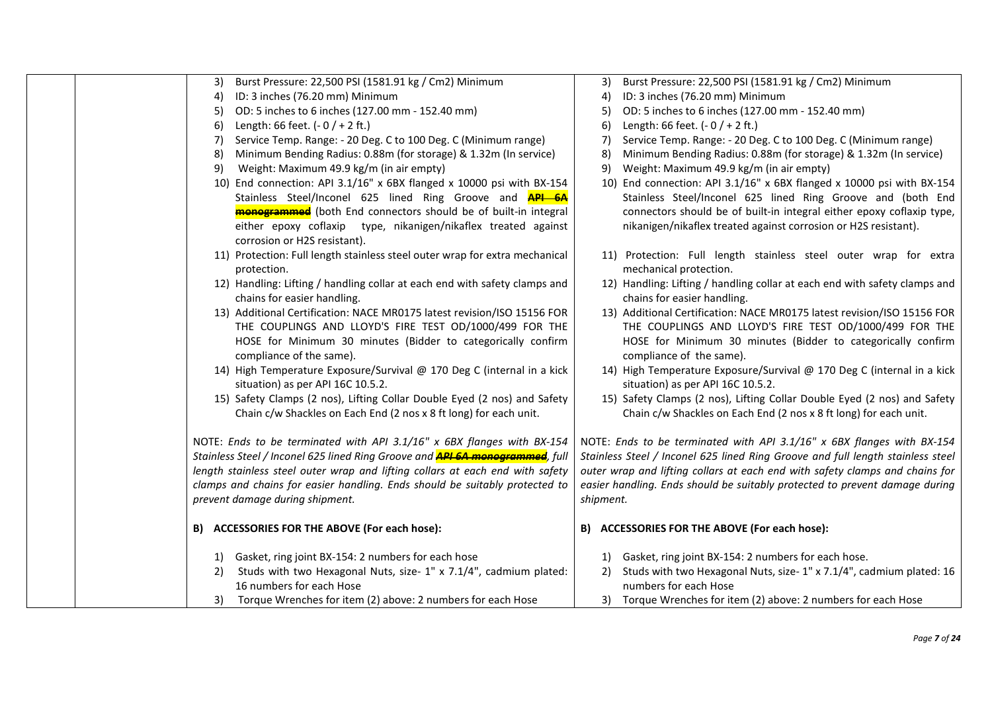|  | Burst Pressure: 22,500 PSI (1581.91 kg / Cm2) Minimum<br>3)                          | Burst Pressure: 22,500 PSI (1581.91 kg / Cm2) Minimum<br>3)                     |
|--|--------------------------------------------------------------------------------------|---------------------------------------------------------------------------------|
|  | ID: 3 inches (76.20 mm) Minimum<br>4)                                                | ID: 3 inches (76.20 mm) Minimum<br>4)                                           |
|  | OD: 5 inches to 6 inches (127.00 mm - 152.40 mm)<br>5)                               | OD: 5 inches to 6 inches (127.00 mm - 152.40 mm)<br>5)                          |
|  | Length: 66 feet. $(-0/+2$ ft.)<br>6)                                                 | Length: 66 feet. $(-0/+2$ ft.)<br>6)                                            |
|  | Service Temp. Range: - 20 Deg. C to 100 Deg. C (Minimum range)<br>7)                 | Service Temp. Range: - 20 Deg. C to 100 Deg. C (Minimum range)<br>7)            |
|  | Minimum Bending Radius: 0.88m (for storage) & 1.32m (In service)<br>8)               | Minimum Bending Radius: 0.88m (for storage) & 1.32m (In service)<br>8)          |
|  | Weight: Maximum 49.9 kg/m (in air empty)<br>9)                                       | Weight: Maximum 49.9 kg/m (in air empty)<br>9)                                  |
|  | 10) End connection: API 3.1/16" x 6BX flanged x 10000 psi with BX-154                | 10) End connection: API 3.1/16" x 6BX flanged x 10000 psi with BX-154           |
|  | Stainless Steel/Inconel 625 lined Ring Groove and <b>API 6A</b>                      | Stainless Steel/Inconel 625 lined Ring Groove and (both End                     |
|  | <b>monogrammed</b> (both End connectors should be of built-in integral               | connectors should be of built-in integral either epoxy coflaxip type,           |
|  | either epoxy coflaxip type, nikanigen/nikaflex treated against                       | nikanigen/nikaflex treated against corrosion or H2S resistant).                 |
|  | corrosion or H2S resistant).                                                         |                                                                                 |
|  | 11) Protection: Full length stainless steel outer wrap for extra mechanical          | 11) Protection: Full length stainless steel outer wrap for extra                |
|  | protection.                                                                          | mechanical protection.                                                          |
|  | 12) Handling: Lifting / handling collar at each end with safety clamps and           | 12) Handling: Lifting / handling collar at each end with safety clamps and      |
|  | chains for easier handling.                                                          | chains for easier handling.                                                     |
|  | 13) Additional Certification: NACE MR0175 latest revision/ISO 15156 FOR              | 13) Additional Certification: NACE MR0175 latest revision/ISO 15156 FOR         |
|  | THE COUPLINGS AND LLOYD'S FIRE TEST OD/1000/499 FOR THE                              | THE COUPLINGS AND LLOYD'S FIRE TEST OD/1000/499 FOR THE                         |
|  | HOSE for Minimum 30 minutes (Bidder to categorically confirm                         | HOSE for Minimum 30 minutes (Bidder to categorically confirm                    |
|  | compliance of the same).                                                             | compliance of the same).                                                        |
|  | 14) High Temperature Exposure/Survival @ 170 Deg C (internal in a kick               | 14) High Temperature Exposure/Survival @ 170 Deg C (internal in a kick          |
|  | situation) as per API 16C 10.5.2.                                                    | situation) as per API 16C 10.5.2.                                               |
|  | 15) Safety Clamps (2 nos), Lifting Collar Double Eyed (2 nos) and Safety             | 15) Safety Clamps (2 nos), Lifting Collar Double Eyed (2 nos) and Safety        |
|  | Chain c/w Shackles on Each End (2 nos x 8 ft long) for each unit.                    | Chain c/w Shackles on Each End (2 nos x 8 ft long) for each unit.               |
|  |                                                                                      |                                                                                 |
|  | NOTE: Ends to be terminated with API 3.1/16" x 6BX flanges with BX-154               | NOTE: Ends to be terminated with API 3.1/16" x 6BX flanges with BX-154          |
|  | Stainless Steel / Inconel 625 lined Ring Groove and <b>API 6A monogrammed</b> , full | Stainless Steel / Inconel 625 lined Ring Groove and full length stainless steel |
|  | length stainless steel outer wrap and lifting collars at each end with safety        | outer wrap and lifting collars at each end with safety clamps and chains for    |
|  | clamps and chains for easier handling. Ends should be suitably protected to          | easier handling. Ends should be suitably protected to prevent damage during     |
|  | prevent damage during shipment.                                                      | shipment.                                                                       |
|  |                                                                                      |                                                                                 |
|  | B) ACCESSORIES FOR THE ABOVE (For each hose):                                        | B) ACCESSORIES FOR THE ABOVE (For each hose):                                   |
|  | Gasket, ring joint BX-154: 2 numbers for each hose<br>1)                             | Gasket, ring joint BX-154: 2 numbers for each hose.<br>1)                       |
|  | Studs with two Hexagonal Nuts, size- 1" x 7.1/4", cadmium plated:<br>2)              | Studs with two Hexagonal Nuts, size- 1" x 7.1/4", cadmium plated: 16<br>2)      |
|  | 16 numbers for each Hose                                                             | numbers for each Hose                                                           |
|  | 3) Torque Wrenches for item (2) above: 2 numbers for each Hose                       | 3) Torque Wrenches for item (2) above: 2 numbers for each Hose                  |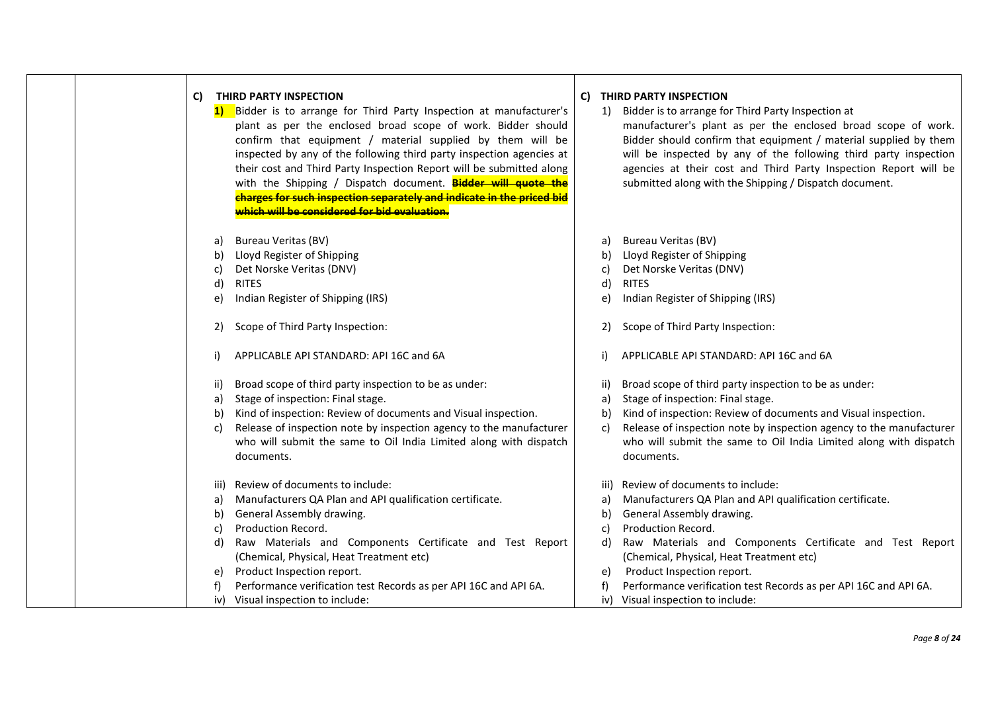| C)<br>1)                                   | THIRD PARTY INSPECTION<br>Bidder is to arrange for Third Party Inspection at manufacturer's<br>plant as per the enclosed broad scope of work. Bidder should<br>confirm that equipment / material supplied by them will be<br>inspected by any of the following third party inspection agencies at<br>their cost and Third Party Inspection Report will be submitted along<br>with the Shipping / Dispatch document. Bidder will quote the<br>charges for such inspection separately and indicate in the priced bid<br>which will be considered for bid evaluation. | C)<br>1)                                  | THIRD PARTY INSPECTION<br>Bidder is to arrange for Third Party Inspection at<br>manufacturer's plant as per the enclosed broad scope of work.<br>Bidder should confirm that equipment / material supplied by them<br>will be inspected by any of the following third party inspection<br>agencies at their cost and Third Party Inspection Report will be<br>submitted along with the Shipping / Dispatch document. |
|--------------------------------------------|--------------------------------------------------------------------------------------------------------------------------------------------------------------------------------------------------------------------------------------------------------------------------------------------------------------------------------------------------------------------------------------------------------------------------------------------------------------------------------------------------------------------------------------------------------------------|-------------------------------------------|---------------------------------------------------------------------------------------------------------------------------------------------------------------------------------------------------------------------------------------------------------------------------------------------------------------------------------------------------------------------------------------------------------------------|
| a)<br>b)<br>C)<br><b>RITES</b><br>d)<br>e) | <b>Bureau Veritas (BV)</b><br>Lloyd Register of Shipping<br>Det Norske Veritas (DNV)<br>Indian Register of Shipping (IRS)                                                                                                                                                                                                                                                                                                                                                                                                                                          | a)<br>b)<br>C)<br>d)<br>e)                | <b>Bureau Veritas (BV)</b><br>Lloyd Register of Shipping<br>Det Norske Veritas (DNV)<br><b>RITES</b><br>Indian Register of Shipping (IRS)                                                                                                                                                                                                                                                                           |
| 2)<br>i)                                   | Scope of Third Party Inspection:<br>APPLICABLE API STANDARD: API 16C and 6A                                                                                                                                                                                                                                                                                                                                                                                                                                                                                        | 2)                                        | Scope of Third Party Inspection:<br>APPLICABLE API STANDARD: API 16C and 6A                                                                                                                                                                                                                                                                                                                                         |
| ii)<br>a)<br>b)<br>C)                      | Broad scope of third party inspection to be as under:<br>Stage of inspection: Final stage.<br>Kind of inspection: Review of documents and Visual inspection.<br>Release of inspection note by inspection agency to the manufacturer<br>who will submit the same to Oil India Limited along with dispatch<br>documents.                                                                                                                                                                                                                                             | ii)<br>a)<br>b)<br>c)                     | Broad scope of third party inspection to be as under:<br>Stage of inspection: Final stage.<br>Kind of inspection: Review of documents and Visual inspection.<br>Release of inspection note by inspection agency to the manufacturer<br>who will submit the same to Oil India Limited along with dispatch<br>documents.                                                                                              |
| iii)<br>a)<br>b)<br>C)<br>d)<br>e)<br>iv)  | Review of documents to include:<br>Manufacturers QA Plan and API qualification certificate.<br>General Assembly drawing.<br>Production Record.<br>Raw Materials and Components Certificate and Test Report<br>(Chemical, Physical, Heat Treatment etc)<br>Product Inspection report.<br>Performance verification test Records as per API 16C and API 6A.<br>Visual inspection to include:                                                                                                                                                                          | iii)<br>a)<br>b)<br>C)<br>d)<br>e)<br>iv) | Review of documents to include:<br>Manufacturers QA Plan and API qualification certificate.<br>General Assembly drawing.<br>Production Record.<br>Raw Materials and Components Certificate and Test Report<br>(Chemical, Physical, Heat Treatment etc)<br>Product Inspection report.<br>Performance verification test Records as per API 16C and API 6A.<br>Visual inspection to include:                           |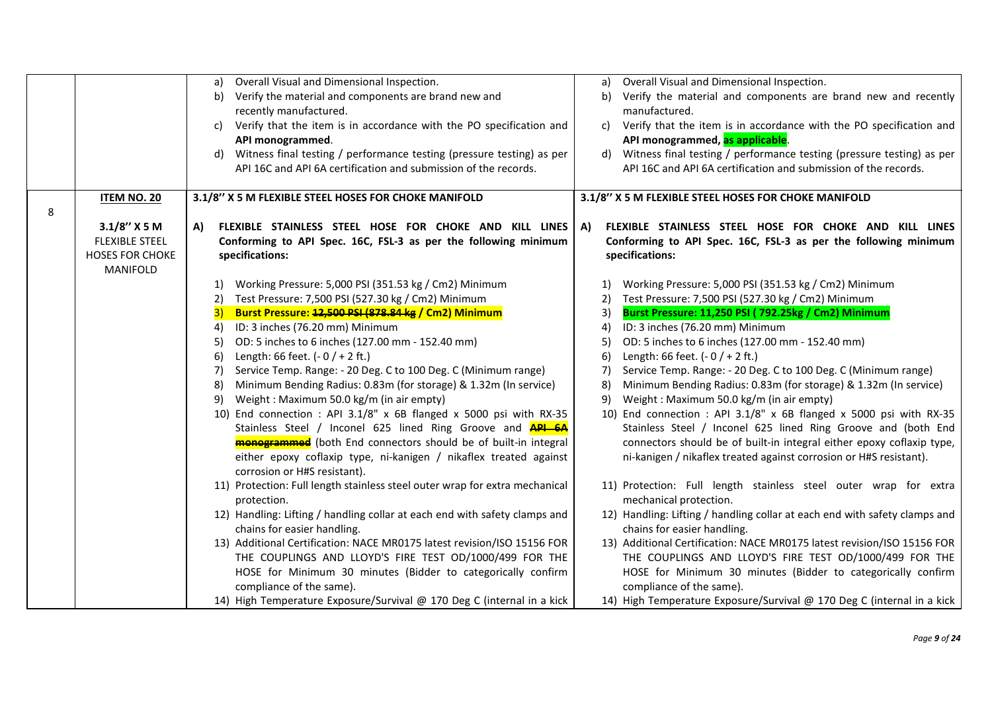|   |                        | Overall Visual and Dimensional Inspection.<br>a)                                                  | Overall Visual and Dimensional Inspection.<br>a)                            |
|---|------------------------|---------------------------------------------------------------------------------------------------|-----------------------------------------------------------------------------|
|   |                        | Verify the material and components are brand new and<br>b)                                        | Verify the material and components are brand new and recently<br>b)         |
|   |                        | recently manufactured.                                                                            | manufactured.                                                               |
|   |                        | Verify that the item is in accordance with the PO specification and<br>C)                         | Verify that the item is in accordance with the PO specification and<br>C)   |
|   |                        | API monogrammed.                                                                                  | API monogrammed, as applicable.                                             |
|   |                        | Witness final testing / performance testing (pressure testing) as per<br>d)                       | Witness final testing / performance testing (pressure testing) as per<br>d) |
|   |                        | API 16C and API 6A certification and submission of the records.                                   | API 16C and API 6A certification and submission of the records.             |
|   |                        |                                                                                                   |                                                                             |
|   | <b>ITEM NO. 20</b>     | 3.1/8" X 5 M FLEXIBLE STEEL HOSES FOR CHOKE MANIFOLD                                              | 3.1/8" X 5 M FLEXIBLE STEEL HOSES FOR CHOKE MANIFOLD                        |
| 8 |                        |                                                                                                   |                                                                             |
|   | $3.1/8''$ X 5 M        | FLEXIBLE STAINLESS STEEL HOSE FOR CHOKE AND KILL LINES<br>A)                                      | A)<br>FLEXIBLE STAINLESS STEEL HOSE FOR CHOKE AND KILL LINES                |
|   | <b>FLEXIBLE STEEL</b>  | Conforming to API Spec. 16C, FSL-3 as per the following minimum                                   | Conforming to API Spec. 16C, FSL-3 as per the following minimum             |
|   | <b>HOSES FOR CHOKE</b> | specifications:                                                                                   | specifications:                                                             |
|   | MANIFOLD               |                                                                                                   |                                                                             |
|   |                        | Working Pressure: 5,000 PSI (351.53 kg / Cm2) Minimum<br>1)                                       | Working Pressure: 5,000 PSI (351.53 kg / Cm2) Minimum                       |
|   |                        | Test Pressure: 7,500 PSI (527.30 kg / Cm2) Minimum<br>2)                                          | Test Pressure: 7,500 PSI (527.30 kg / Cm2) Minimum<br>2)                    |
|   |                        | Burst Pressure: 12,500 PSI (878.84 kg / Cm2) Minimum<br>3)                                        | Burst Pressure: 11,250 PSI (792.25kg / Cm2) Minimum<br>3)                   |
|   |                        | ID: 3 inches (76.20 mm) Minimum<br>4)                                                             | ID: 3 inches (76.20 mm) Minimum<br>4)                                       |
|   |                        | OD: 5 inches to 6 inches (127.00 mm - 152.40 mm)<br>5)                                            | OD: 5 inches to 6 inches (127.00 mm - 152.40 mm)<br>5)                      |
|   |                        | Length: 66 feet. $(-0/+2$ ft.)<br>6)                                                              | Length: 66 feet. $(-0/+2$ ft.)<br>6)                                        |
|   |                        | Service Temp. Range: - 20 Deg. C to 100 Deg. C (Minimum range)<br>7)                              | Service Temp. Range: - 20 Deg. C to 100 Deg. C (Minimum range)<br>7)        |
|   |                        | Minimum Bending Radius: 0.83m (for storage) & 1.32m (In service)<br>8)                            | Minimum Bending Radius: 0.83m (for storage) & 1.32m (In service)<br>8)      |
|   |                        | Weight: Maximum 50.0 kg/m (in air empty)<br>9)                                                    | Weight: Maximum 50.0 kg/m (in air empty)<br>9)                              |
|   |                        | 10) End connection : API 3.1/8" x 6B flanged x 5000 psi with RX-35                                | 10) End connection : API 3.1/8" x 6B flanged x 5000 psi with RX-35          |
|   |                        | Stainless Steel / Inconel 625 lined Ring Groove and <b>API 6A</b>                                 | Stainless Steel / Inconel 625 lined Ring Groove and (both End               |
|   |                        | <b>monogrammed</b> (both End connectors should be of built-in integral                            | connectors should be of built-in integral either epoxy coflaxip type,       |
|   |                        | either epoxy coflaxip type, ni-kanigen / nikaflex treated against<br>corrosion or H#S resistant). | ni-kanigen / nikaflex treated against corrosion or H#S resistant).          |
|   |                        | 11) Protection: Full length stainless steel outer wrap for extra mechanical                       | 11) Protection: Full length stainless steel outer wrap for extra            |
|   |                        | protection.                                                                                       | mechanical protection.                                                      |
|   |                        | 12) Handling: Lifting / handling collar at each end with safety clamps and                        | 12) Handling: Lifting / handling collar at each end with safety clamps and  |
|   |                        | chains for easier handling.                                                                       | chains for easier handling.                                                 |
|   |                        | 13) Additional Certification: NACE MR0175 latest revision/ISO 15156 FOR                           | 13) Additional Certification: NACE MR0175 latest revision/ISO 15156 FOR     |
|   |                        | THE COUPLINGS AND LLOYD'S FIRE TEST OD/1000/499 FOR THE                                           | THE COUPLINGS AND LLOYD'S FIRE TEST OD/1000/499 FOR THE                     |
|   |                        | HOSE for Minimum 30 minutes (Bidder to categorically confirm                                      | HOSE for Minimum 30 minutes (Bidder to categorically confirm                |
|   |                        | compliance of the same).                                                                          | compliance of the same).                                                    |
|   |                        | 14) High Temperature Exposure/Survival @ 170 Deg C (internal in a kick                            | 14) High Temperature Exposure/Survival @ 170 Deg C (internal in a kick      |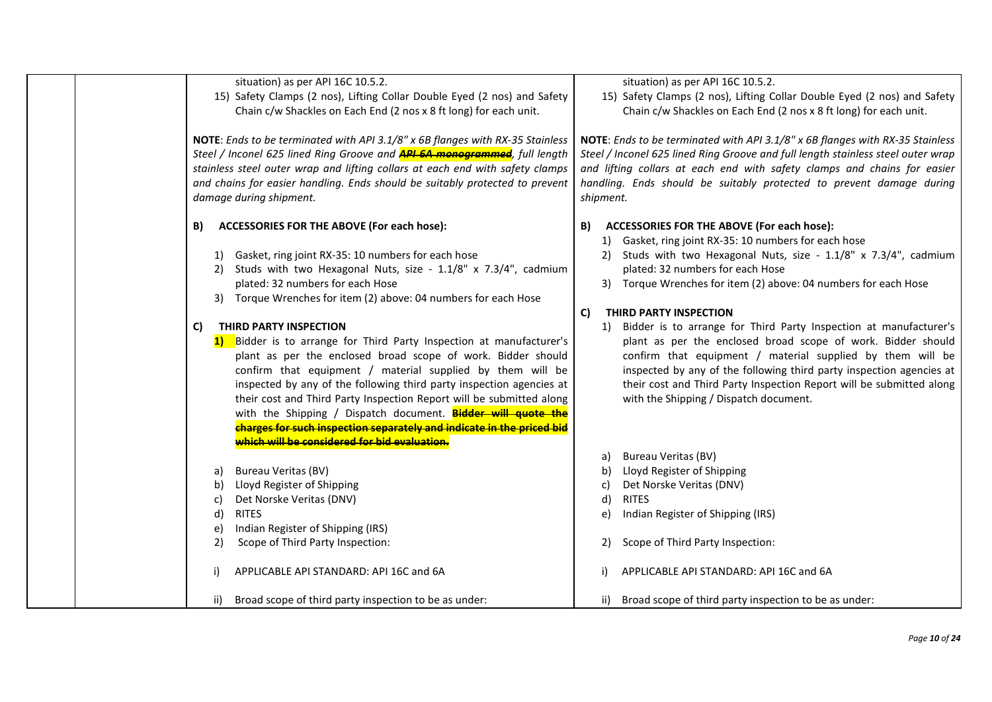|                                                                                                                                                                                                                                                                                                                                                                | situation) as per API 16C 10.5.2.<br>15) Safety Clamps (2 nos), Lifting Collar Double Eyed (2 nos) and Safety<br>Chain c/w Shackles on Each End (2 nos x 8 ft long) for each unit.                                                                                                                                                                                                                                                                                                                                                                                                    | situation) as per API 16C 10.5.2.<br>15) Safety Clamps (2 nos), Lifting Collar Double Eyed (2 nos) and Safety<br>Chain c/w Shackles on Each End (2 nos x 8 ft long) for each unit.                                                                                                                                                                                                                                              |  |
|----------------------------------------------------------------------------------------------------------------------------------------------------------------------------------------------------------------------------------------------------------------------------------------------------------------------------------------------------------------|---------------------------------------------------------------------------------------------------------------------------------------------------------------------------------------------------------------------------------------------------------------------------------------------------------------------------------------------------------------------------------------------------------------------------------------------------------------------------------------------------------------------------------------------------------------------------------------|---------------------------------------------------------------------------------------------------------------------------------------------------------------------------------------------------------------------------------------------------------------------------------------------------------------------------------------------------------------------------------------------------------------------------------|--|
| NOTE: Ends to be terminated with API 3.1/8" x 6B flanges with RX-35 Stainless<br>Steel / Inconel 625 lined Ring Groove and <b>API 6A monogrammed</b> , full length<br>stainless steel outer wrap and lifting collars at each end with safety clamps<br>and chains for easier handling. Ends should be suitably protected to prevent<br>damage during shipment. |                                                                                                                                                                                                                                                                                                                                                                                                                                                                                                                                                                                       | NOTE: Ends to be terminated with API 3.1/8" x 6B flanges with RX-35 Stainless<br>Steel / Inconel 625 lined Ring Groove and full length stainless steel outer wrap<br>and lifting collars at each end with safety clamps and chains for easier<br>handling. Ends should be suitably protected to prevent damage during<br>shipment.                                                                                              |  |
|                                                                                                                                                                                                                                                                                                                                                                | <b>ACCESSORIES FOR THE ABOVE (For each hose):</b><br>B)<br>Gasket, ring joint RX-35: 10 numbers for each hose<br>1)<br>Studs with two Hexagonal Nuts, size - 1.1/8" x 7.3/4", cadmium<br>2)<br>plated: 32 numbers for each Hose<br>Torque Wrenches for item (2) above: 04 numbers for each Hose<br>3)                                                                                                                                                                                                                                                                                 | <b>ACCESSORIES FOR THE ABOVE (For each hose):</b><br>B)<br>Gasket, ring joint RX-35: 10 numbers for each hose<br>1)<br>Studs with two Hexagonal Nuts, size - 1.1/8" x 7.3/4", cadmium<br>2)<br>plated: 32 numbers for each Hose<br>3) Torque Wrenches for item (2) above: 04 numbers for each Hose                                                                                                                              |  |
|                                                                                                                                                                                                                                                                                                                                                                | THIRD PARTY INSPECTION<br>C)<br>Bidder is to arrange for Third Party Inspection at manufacturer's<br>1)<br>plant as per the enclosed broad scope of work. Bidder should<br>confirm that equipment / material supplied by them will be<br>inspected by any of the following third party inspection agencies at<br>their cost and Third Party Inspection Report will be submitted along<br>with the Shipping / Dispatch document. <b>Bidder will quote the</b><br>charges for such inspection separately and indicate in the priced bid<br>which will be considered for bid evaluation. | THIRD PARTY INSPECTION<br>C)<br>Bidder is to arrange for Third Party Inspection at manufacturer's<br>1)<br>plant as per the enclosed broad scope of work. Bidder should<br>confirm that equipment / material supplied by them will be<br>inspected by any of the following third party inspection agencies at<br>their cost and Third Party Inspection Report will be submitted along<br>with the Shipping / Dispatch document. |  |
|                                                                                                                                                                                                                                                                                                                                                                | <b>Bureau Veritas (BV)</b><br>a)<br>Lloyd Register of Shipping<br>b)                                                                                                                                                                                                                                                                                                                                                                                                                                                                                                                  | Bureau Veritas (BV)<br>a)<br>Lloyd Register of Shipping<br>b)<br>Det Norske Veritas (DNV)<br>c)                                                                                                                                                                                                                                                                                                                                 |  |
|                                                                                                                                                                                                                                                                                                                                                                | Det Norske Veritas (DNV)<br>C)<br><b>RITES</b><br>d)<br>Indian Register of Shipping (IRS)<br>e)<br>Scope of Third Party Inspection:<br>2)                                                                                                                                                                                                                                                                                                                                                                                                                                             | <b>RITES</b><br>d)<br>Indian Register of Shipping (IRS)<br>e)<br>Scope of Third Party Inspection:<br>2)                                                                                                                                                                                                                                                                                                                         |  |
|                                                                                                                                                                                                                                                                                                                                                                | APPLICABLE API STANDARD: API 16C and 6A<br>i)                                                                                                                                                                                                                                                                                                                                                                                                                                                                                                                                         | APPLICABLE API STANDARD: API 16C and 6A                                                                                                                                                                                                                                                                                                                                                                                         |  |
|                                                                                                                                                                                                                                                                                                                                                                | Broad scope of third party inspection to be as under:<br>ii)                                                                                                                                                                                                                                                                                                                                                                                                                                                                                                                          | ii) Broad scope of third party inspection to be as under:                                                                                                                                                                                                                                                                                                                                                                       |  |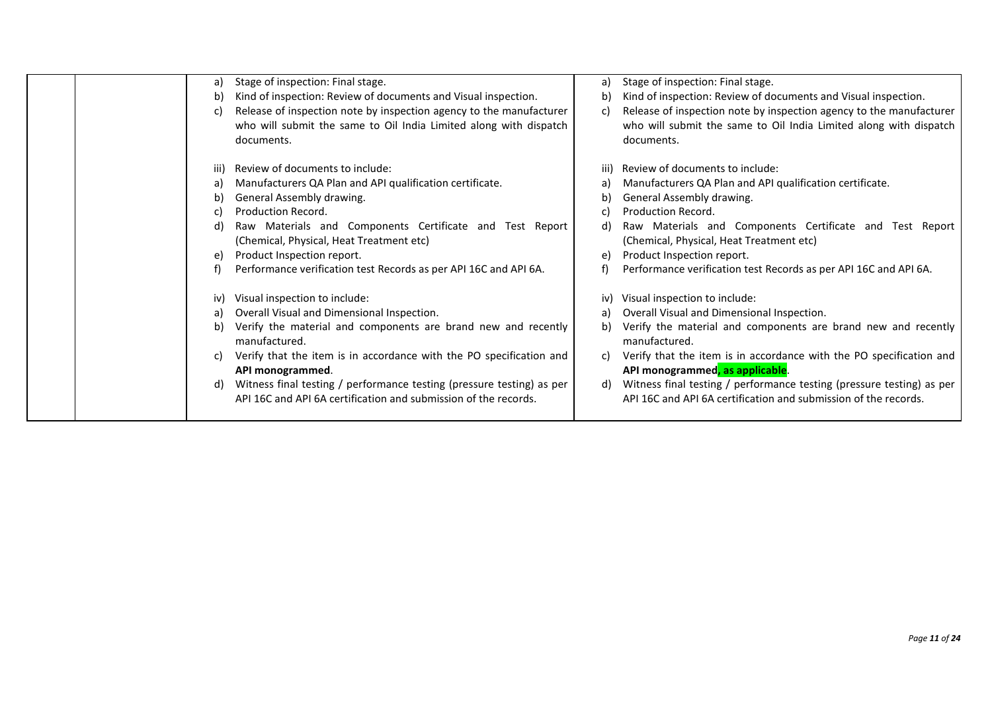|  | a)   | Stage of inspection: Final stage.                                     | a) | Stage of inspection: Final stage.                                     |
|--|------|-----------------------------------------------------------------------|----|-----------------------------------------------------------------------|
|  | b)   | Kind of inspection: Review of documents and Visual inspection.        | b) | Kind of inspection: Review of documents and Visual inspection.        |
|  | C)   | Release of inspection note by inspection agency to the manufacturer   | C) | Release of inspection note by inspection agency to the manufacturer   |
|  |      | who will submit the same to Oil India Limited along with dispatch     |    | who will submit the same to Oil India Limited along with dispatch     |
|  |      | documents.                                                            |    | documents.                                                            |
|  |      |                                                                       |    |                                                                       |
|  | iii) | Review of documents to include:                                       |    | Review of documents to include:                                       |
|  | a)   | Manufacturers QA Plan and API qualification certificate.              |    | Manufacturers QA Plan and API qualification certificate.              |
|  | b)   | General Assembly drawing.                                             |    | General Assembly drawing.                                             |
|  |      | Production Record.                                                    |    | Production Record.                                                    |
|  | d)   | Raw Materials and Components Certificate and Test Report              | d) | Raw Materials and Components Certificate and Test Report              |
|  |      | (Chemical, Physical, Heat Treatment etc)                              |    | (Chemical, Physical, Heat Treatment etc)                              |
|  |      | Product Inspection report.                                            | e) | Product Inspection report.                                            |
|  |      | Performance verification test Records as per API 16C and API 6A.      |    | Performance verification test Records as per API 16C and API 6A.      |
|  | iv)  | Visual inspection to include:                                         |    | Visual inspection to include:                                         |
|  | a)   | Overall Visual and Dimensional Inspection.                            | a) | Overall Visual and Dimensional Inspection.                            |
|  | b)   | Verify the material and components are brand new and recently         | b) | Verify the material and components are brand new and recently         |
|  |      | manufactured.                                                         |    | manufactured.                                                         |
|  |      | Verify that the item is in accordance with the PO specification and   | C) | Verify that the item is in accordance with the PO specification and   |
|  |      | API monogrammed.                                                      |    | API monogrammed, as applicable.                                       |
|  |      | Witness final testing / performance testing (pressure testing) as per | d) | Witness final testing / performance testing (pressure testing) as per |
|  |      | API 16C and API 6A certification and submission of the records.       |    | API 16C and API 6A certification and submission of the records.       |
|  |      |                                                                       |    |                                                                       |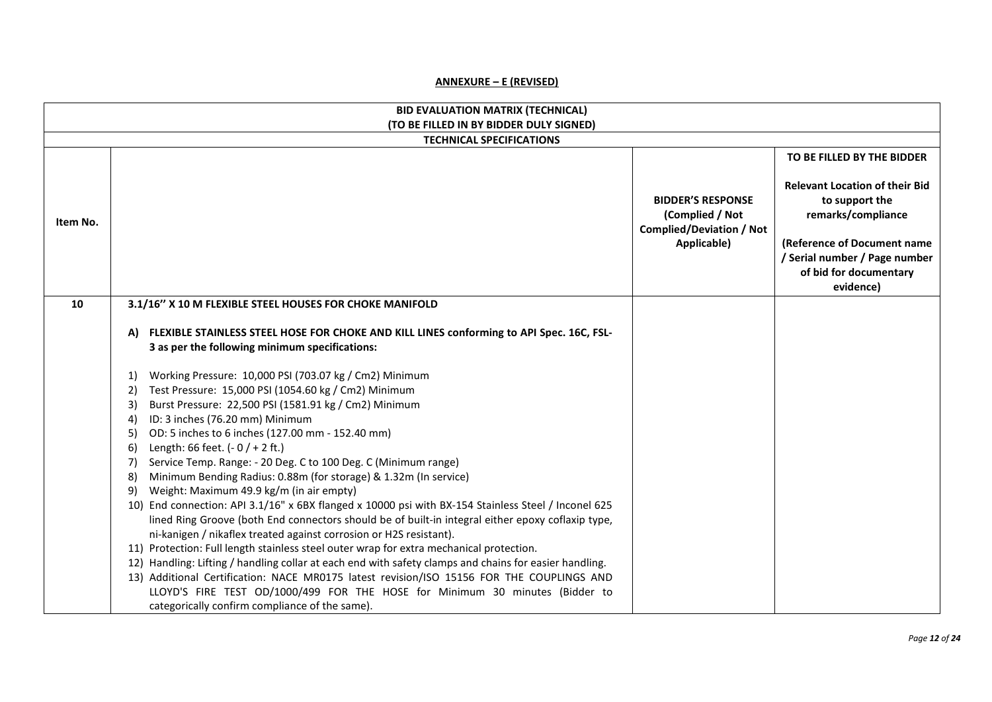### **ANNEXURE – E (REVISED)**

|          | <b>BID EVALUATION MATRIX (TECHNICAL)</b>                                                                                                                                                                                                                                                                                                                                                                                                                                                                                                                                                                                                                                                                                                                                                                                                                                                                                                                                                                                                                                                                                                                                                                                                                       |                                                                                               |                                                                                                                                                                                                                    |
|----------|----------------------------------------------------------------------------------------------------------------------------------------------------------------------------------------------------------------------------------------------------------------------------------------------------------------------------------------------------------------------------------------------------------------------------------------------------------------------------------------------------------------------------------------------------------------------------------------------------------------------------------------------------------------------------------------------------------------------------------------------------------------------------------------------------------------------------------------------------------------------------------------------------------------------------------------------------------------------------------------------------------------------------------------------------------------------------------------------------------------------------------------------------------------------------------------------------------------------------------------------------------------|-----------------------------------------------------------------------------------------------|--------------------------------------------------------------------------------------------------------------------------------------------------------------------------------------------------------------------|
|          | (TO BE FILLED IN BY BIDDER DULY SIGNED)<br><b>TECHNICAL SPECIFICATIONS</b>                                                                                                                                                                                                                                                                                                                                                                                                                                                                                                                                                                                                                                                                                                                                                                                                                                                                                                                                                                                                                                                                                                                                                                                     |                                                                                               |                                                                                                                                                                                                                    |
| Item No. |                                                                                                                                                                                                                                                                                                                                                                                                                                                                                                                                                                                                                                                                                                                                                                                                                                                                                                                                                                                                                                                                                                                                                                                                                                                                | <b>BIDDER'S RESPONSE</b><br>(Complied / Not<br><b>Complied/Deviation / Not</b><br>Applicable) | TO BE FILLED BY THE BIDDER<br><b>Relevant Location of their Bid</b><br>to support the<br>remarks/compliance<br>(Reference of Document name<br>/ Serial number / Page number<br>of bid for documentary<br>evidence) |
| 10       | 3.1/16" X 10 M FLEXIBLE STEEL HOUSES FOR CHOKE MANIFOLD                                                                                                                                                                                                                                                                                                                                                                                                                                                                                                                                                                                                                                                                                                                                                                                                                                                                                                                                                                                                                                                                                                                                                                                                        |                                                                                               |                                                                                                                                                                                                                    |
|          | A) FLEXIBLE STAINLESS STEEL HOSE FOR CHOKE AND KILL LINES conforming to API Spec. 16C, FSL-<br>3 as per the following minimum specifications:                                                                                                                                                                                                                                                                                                                                                                                                                                                                                                                                                                                                                                                                                                                                                                                                                                                                                                                                                                                                                                                                                                                  |                                                                                               |                                                                                                                                                                                                                    |
|          | Working Pressure: 10,000 PSI (703.07 kg / Cm2) Minimum<br>1)<br>Test Pressure: 15,000 PSI (1054.60 kg / Cm2) Minimum<br>2)<br>Burst Pressure: 22,500 PSI (1581.91 kg / Cm2) Minimum<br>3)<br>ID: 3 inches (76.20 mm) Minimum<br>4)<br>OD: 5 inches to 6 inches (127.00 mm - 152.40 mm)<br>5)<br>Length: 66 feet. $(-0/+2$ ft.)<br>6)<br>Service Temp. Range: - 20 Deg. C to 100 Deg. C (Minimum range)<br>7)<br>Minimum Bending Radius: 0.88m (for storage) & 1.32m (In service)<br>8)<br>Weight: Maximum 49.9 kg/m (in air empty)<br>9)<br>10) End connection: API 3.1/16" x 6BX flanged x 10000 psi with BX-154 Stainless Steel / Inconel 625<br>lined Ring Groove (both End connectors should be of built-in integral either epoxy coflaxip type,<br>ni-kanigen / nikaflex treated against corrosion or H2S resistant).<br>11) Protection: Full length stainless steel outer wrap for extra mechanical protection.<br>12) Handling: Lifting / handling collar at each end with safety clamps and chains for easier handling.<br>13) Additional Certification: NACE MR0175 latest revision/ISO 15156 FOR THE COUPLINGS AND<br>LLOYD'S FIRE TEST OD/1000/499 FOR THE HOSE for Minimum 30 minutes (Bidder to<br>categorically confirm compliance of the same). |                                                                                               |                                                                                                                                                                                                                    |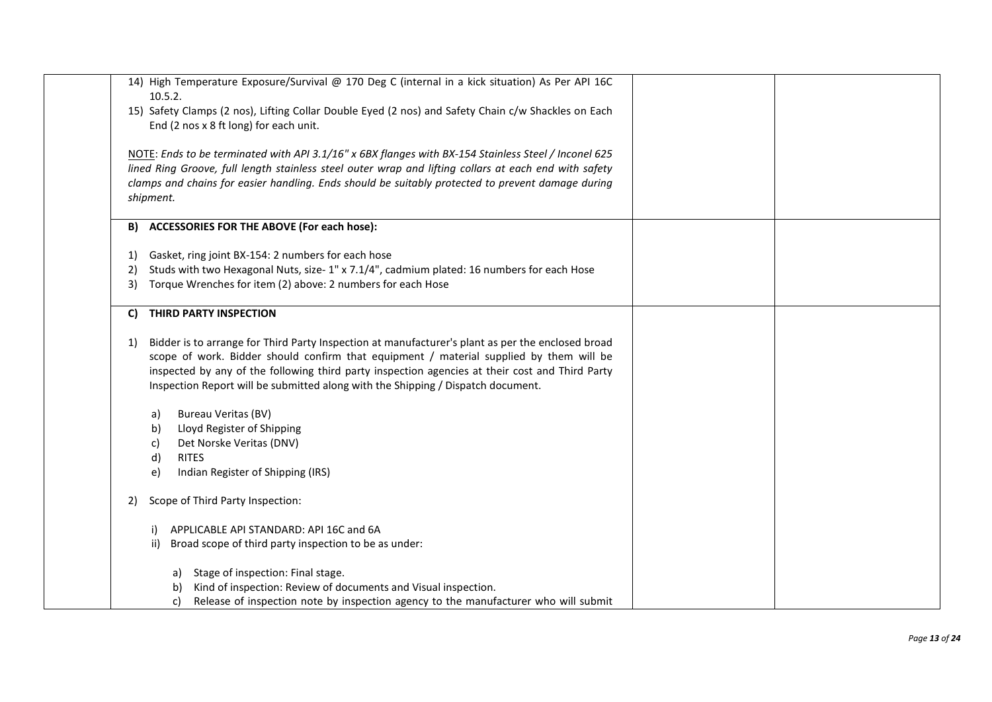| 14) High Temperature Exposure/Survival @ 170 Deg C (internal in a kick situation) As Per API 16C<br>10.5.2.                                                                                                                                                                                                                                                                               |  |
|-------------------------------------------------------------------------------------------------------------------------------------------------------------------------------------------------------------------------------------------------------------------------------------------------------------------------------------------------------------------------------------------|--|
| 15) Safety Clamps (2 nos), Lifting Collar Double Eyed (2 nos) and Safety Chain c/w Shackles on Each<br>End (2 nos x 8 ft long) for each unit.                                                                                                                                                                                                                                             |  |
| NOTE: Ends to be terminated with API 3.1/16" x 6BX flanges with BX-154 Stainless Steel / Inconel 625                                                                                                                                                                                                                                                                                      |  |
| lined Ring Groove, full length stainless steel outer wrap and lifting collars at each end with safety                                                                                                                                                                                                                                                                                     |  |
| clamps and chains for easier handling. Ends should be suitably protected to prevent damage during<br>shipment.                                                                                                                                                                                                                                                                            |  |
| <b>ACCESSORIES FOR THE ABOVE (For each hose):</b><br>B)                                                                                                                                                                                                                                                                                                                                   |  |
| Gasket, ring joint BX-154: 2 numbers for each hose<br>1)                                                                                                                                                                                                                                                                                                                                  |  |
| Studs with two Hexagonal Nuts, size- 1" x 7.1/4", cadmium plated: 16 numbers for each Hose<br>2)                                                                                                                                                                                                                                                                                          |  |
| Torque Wrenches for item (2) above: 2 numbers for each Hose<br>3)                                                                                                                                                                                                                                                                                                                         |  |
| THIRD PARTY INSPECTION<br>C)                                                                                                                                                                                                                                                                                                                                                              |  |
| Bidder is to arrange for Third Party Inspection at manufacturer's plant as per the enclosed broad<br>1)<br>scope of work. Bidder should confirm that equipment / material supplied by them will be<br>inspected by any of the following third party inspection agencies at their cost and Third Party<br>Inspection Report will be submitted along with the Shipping / Dispatch document. |  |
| <b>Bureau Veritas (BV)</b><br>a)                                                                                                                                                                                                                                                                                                                                                          |  |
| Lloyd Register of Shipping<br>b)                                                                                                                                                                                                                                                                                                                                                          |  |
| Det Norske Veritas (DNV)<br>c)                                                                                                                                                                                                                                                                                                                                                            |  |
| d)<br><b>RITES</b>                                                                                                                                                                                                                                                                                                                                                                        |  |
| Indian Register of Shipping (IRS)<br>e)                                                                                                                                                                                                                                                                                                                                                   |  |
| Scope of Third Party Inspection:<br>2)                                                                                                                                                                                                                                                                                                                                                    |  |
| APPLICABLE API STANDARD: API 16C and 6A<br>i)                                                                                                                                                                                                                                                                                                                                             |  |
| ii) Broad scope of third party inspection to be as under:                                                                                                                                                                                                                                                                                                                                 |  |
| Stage of inspection: Final stage.<br>a)                                                                                                                                                                                                                                                                                                                                                   |  |
| Kind of inspection: Review of documents and Visual inspection.<br>b)                                                                                                                                                                                                                                                                                                                      |  |
| Release of inspection note by inspection agency to the manufacturer who will submit<br>C)                                                                                                                                                                                                                                                                                                 |  |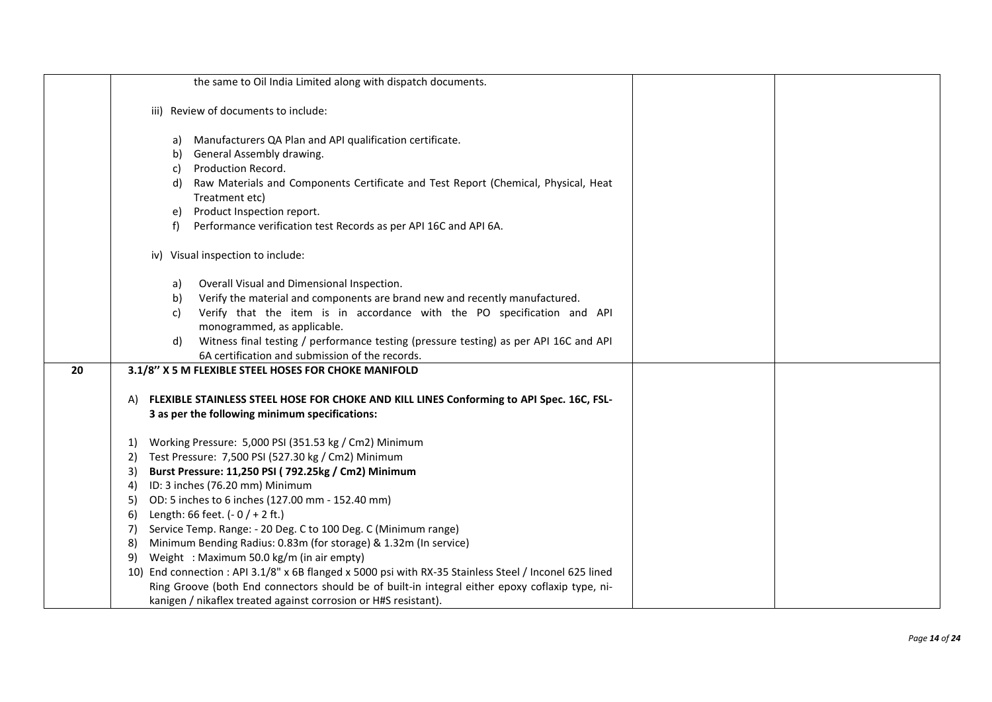|    | the same to Oil India Limited along with dispatch documents.                                           |  |
|----|--------------------------------------------------------------------------------------------------------|--|
|    |                                                                                                        |  |
|    | iii) Review of documents to include:                                                                   |  |
|    |                                                                                                        |  |
|    | a) Manufacturers QA Plan and API qualification certificate.                                            |  |
|    | General Assembly drawing.<br>b)                                                                        |  |
|    | Production Record.<br>C)                                                                               |  |
|    | Raw Materials and Components Certificate and Test Report (Chemical, Physical, Heat<br>d)               |  |
|    | Treatment etc)                                                                                         |  |
|    | Product Inspection report.<br>e)                                                                       |  |
|    | Performance verification test Records as per API 16C and API 6A.<br>f                                  |  |
|    |                                                                                                        |  |
|    | iv) Visual inspection to include:                                                                      |  |
|    |                                                                                                        |  |
|    | Overall Visual and Dimensional Inspection.<br>a)                                                       |  |
|    | Verify the material and components are brand new and recently manufactured.<br>b)                      |  |
|    | Verify that the item is in accordance with the PO specification and API<br>C)                          |  |
|    | monogrammed, as applicable.                                                                            |  |
|    | Witness final testing / performance testing (pressure testing) as per API 16C and API<br>d)            |  |
|    | 6A certification and submission of the records.                                                        |  |
| 20 | 3.1/8" X 5 M FLEXIBLE STEEL HOSES FOR CHOKE MANIFOLD                                                   |  |
|    |                                                                                                        |  |
|    | FLEXIBLE STAINLESS STEEL HOSE FOR CHOKE AND KILL LINES Conforming to API Spec. 16C, FSL-<br>A)         |  |
|    | 3 as per the following minimum specifications:                                                         |  |
|    |                                                                                                        |  |
|    | Working Pressure: 5,000 PSI (351.53 kg / Cm2) Minimum<br>1)                                            |  |
|    | Test Pressure: 7,500 PSI (527.30 kg / Cm2) Minimum<br>2)                                               |  |
|    | Burst Pressure: 11,250 PSI (792.25kg / Cm2) Minimum<br>3)                                              |  |
|    | ID: 3 inches (76.20 mm) Minimum<br>4)                                                                  |  |
|    | OD: 5 inches to 6 inches (127.00 mm - 152.40 mm)<br>5)                                                 |  |
|    | Length: 66 feet. $(-0/+2$ ft.)<br>6)                                                                   |  |
|    | Service Temp. Range: - 20 Deg. C to 100 Deg. C (Minimum range)<br>7)                                   |  |
|    | Minimum Bending Radius: 0.83m (for storage) & 1.32m (In service)<br>8)                                 |  |
|    | Weight: Maximum 50.0 kg/m (in air empty)<br>9)                                                         |  |
|    | 10) End connection : API 3.1/8" x 6B flanged x 5000 psi with RX-35 Stainless Steel / Inconel 625 lined |  |
|    | Ring Groove (both End connectors should be of built-in integral either epoxy coflaxip type, ni-        |  |
|    | kanigen / nikaflex treated against corrosion or H#S resistant).                                        |  |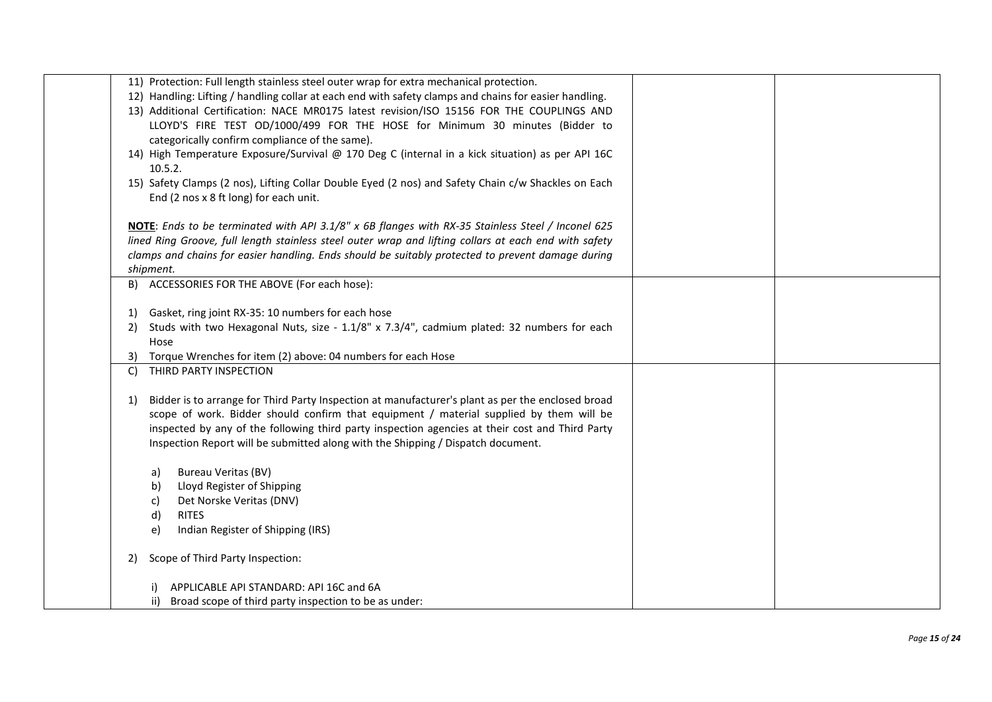| 11) Protection: Full length stainless steel outer wrap for extra mechanical protection.                 |
|---------------------------------------------------------------------------------------------------------|
| 12) Handling: Lifting / handling collar at each end with safety clamps and chains for easier handling.  |
| 13) Additional Certification: NACE MR0175 latest revision/ISO 15156 FOR THE COUPLINGS AND               |
|                                                                                                         |
| LLOYD'S FIRE TEST OD/1000/499 FOR THE HOSE for Minimum 30 minutes (Bidder to                            |
| categorically confirm compliance of the same).                                                          |
| 14) High Temperature Exposure/Survival @ 170 Deg C (internal in a kick situation) as per API 16C        |
| 10.5.2.                                                                                                 |
| 15) Safety Clamps (2 nos), Lifting Collar Double Eyed (2 nos) and Safety Chain c/w Shackles on Each     |
|                                                                                                         |
| End (2 nos x 8 ft long) for each unit.                                                                  |
|                                                                                                         |
| NOTE: Ends to be terminated with API 3.1/8" x 6B flanges with RX-35 Stainless Steel / Inconel 625       |
| lined Ring Groove, full length stainless steel outer wrap and lifting collars at each end with safety   |
| clamps and chains for easier handling. Ends should be suitably protected to prevent damage during       |
| shipment.                                                                                               |
|                                                                                                         |
| B) ACCESSORIES FOR THE ABOVE (For each hose):                                                           |
|                                                                                                         |
| Gasket, ring joint RX-35: 10 numbers for each hose<br><sup>1</sup>                                      |
| Studs with two Hexagonal Nuts, size - 1.1/8" x 7.3/4", cadmium plated: 32 numbers for each<br>2)        |
| Hose                                                                                                    |
| Torque Wrenches for item (2) above: 04 numbers for each Hose<br>3)                                      |
| THIRD PARTY INSPECTION<br>C)                                                                            |
|                                                                                                         |
|                                                                                                         |
| Bidder is to arrange for Third Party Inspection at manufacturer's plant as per the enclosed broad<br>1) |
| scope of work. Bidder should confirm that equipment / material supplied by them will be                 |
| inspected by any of the following third party inspection agencies at their cost and Third Party         |
| Inspection Report will be submitted along with the Shipping / Dispatch document.                        |
|                                                                                                         |
| <b>Bureau Veritas (BV)</b><br>a)                                                                        |
|                                                                                                         |
| Lloyd Register of Shipping<br>b)                                                                        |
| Det Norske Veritas (DNV)<br>C)                                                                          |
| <b>RITES</b><br>d)                                                                                      |
| Indian Register of Shipping (IRS)<br>e)                                                                 |
|                                                                                                         |
| Scope of Third Party Inspection:<br>2)                                                                  |
|                                                                                                         |
| APPLICABLE API STANDARD: API 16C and 6A                                                                 |
| Broad scope of third party inspection to be as under:<br>ii)                                            |
|                                                                                                         |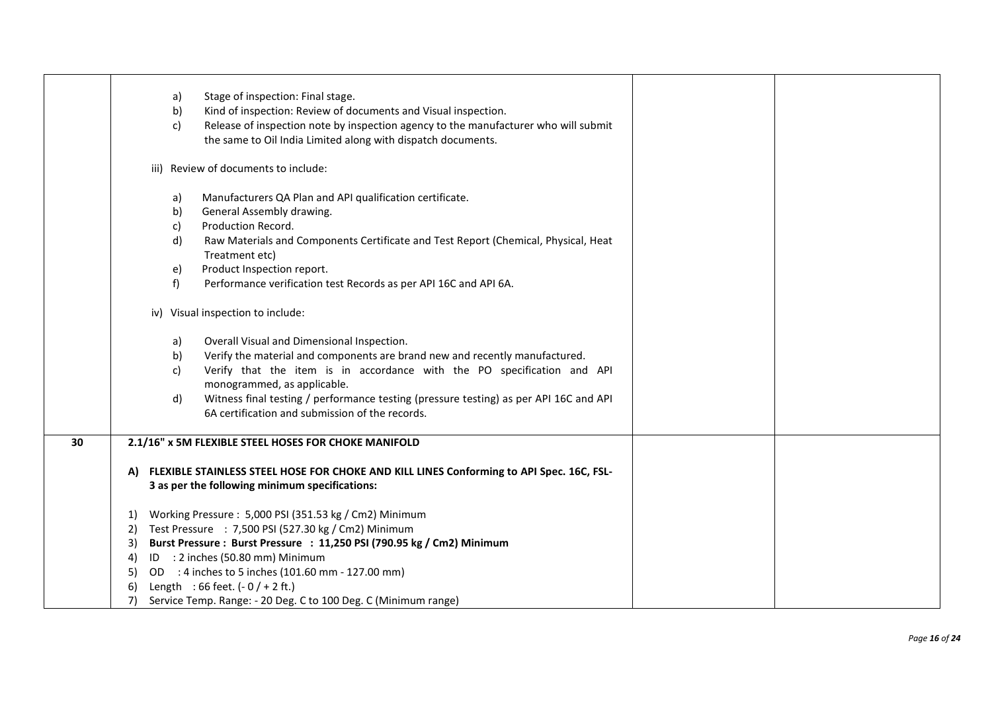|    | Stage of inspection: Final stage.<br>a)<br>Kind of inspection: Review of documents and Visual inspection.<br>b)<br>Release of inspection note by inspection agency to the manufacturer who will submit<br>c)<br>the same to Oil India Limited along with dispatch documents.                                                                                                                                                                                                                                                                                                                                                         |  |
|----|--------------------------------------------------------------------------------------------------------------------------------------------------------------------------------------------------------------------------------------------------------------------------------------------------------------------------------------------------------------------------------------------------------------------------------------------------------------------------------------------------------------------------------------------------------------------------------------------------------------------------------------|--|
|    | iii) Review of documents to include:                                                                                                                                                                                                                                                                                                                                                                                                                                                                                                                                                                                                 |  |
|    | Manufacturers QA Plan and API qualification certificate.<br>a)<br>General Assembly drawing.<br>b)<br>Production Record.<br>c)<br>d)<br>Raw Materials and Components Certificate and Test Report (Chemical, Physical, Heat<br>Treatment etc)<br>Product Inspection report.<br>e)<br>f)<br>Performance verification test Records as per API 16C and API 6A.                                                                                                                                                                                                                                                                            |  |
|    | iv) Visual inspection to include:<br>Overall Visual and Dimensional Inspection.<br>a)<br>Verify the material and components are brand new and recently manufactured.<br>b)<br>Verify that the item is in accordance with the PO specification and API<br>c)<br>monogrammed, as applicable.<br>Witness final testing / performance testing (pressure testing) as per API 16C and API<br>d)<br>6A certification and submission of the records.                                                                                                                                                                                         |  |
| 30 | 2.1/16" x 5M FLEXIBLE STEEL HOSES FOR CHOKE MANIFOLD<br>A) FLEXIBLE STAINLESS STEEL HOSE FOR CHOKE AND KILL LINES Conforming to API Spec. 16C, FSL-<br>3 as per the following minimum specifications:<br>Working Pressure: 5,000 PSI (351.53 kg / Cm2) Minimum<br>1)<br>2) Test Pressure : 7,500 PSI (527.30 kg / Cm2) Minimum<br>Burst Pressure: Burst Pressure: 11,250 PSI (790.95 kg / Cm2) Minimum<br>3)<br>ID : 2 inches (50.80 mm) Minimum<br>4)<br>OD : 4 inches to 5 inches (101.60 mm - 127.00 mm)<br>5)<br>Length : 66 feet. $(-0)$ + 2 ft.)<br>6)<br>Service Temp. Range: - 20 Deg. C to 100 Deg. C (Minimum range)<br>7) |  |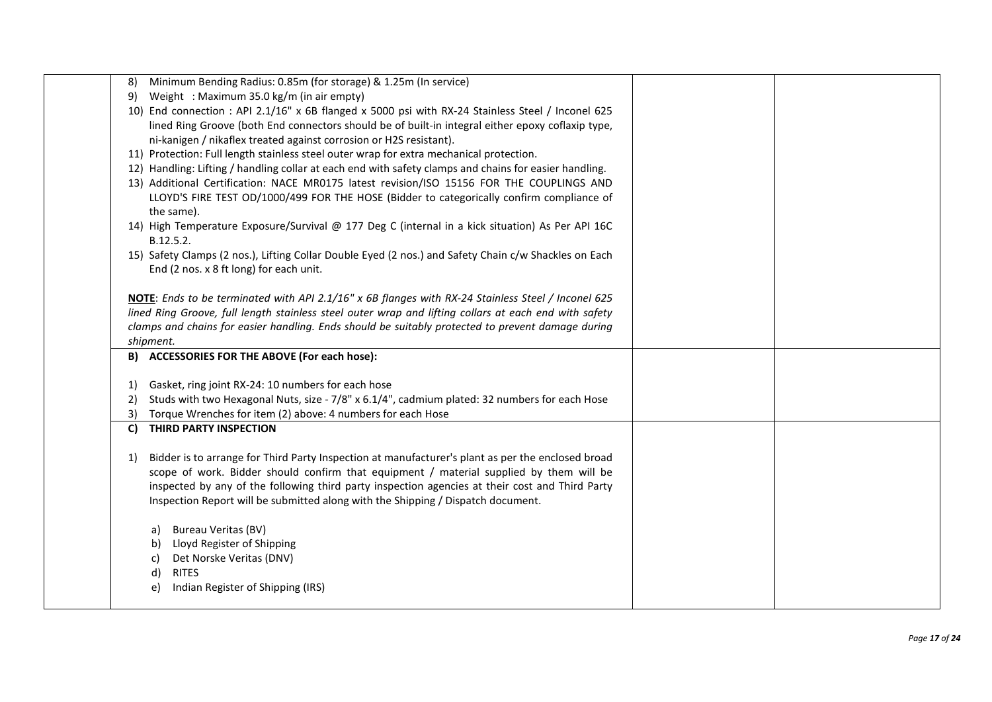| Minimum Bending Radius: 0.85m (for storage) & 1.25m (In service)<br>8)                                  |  |
|---------------------------------------------------------------------------------------------------------|--|
| 9) Weight : Maximum 35.0 kg/m (in air empty)                                                            |  |
| 10) End connection : API 2.1/16" x 6B flanged x 5000 psi with RX-24 Stainless Steel / Inconel 625       |  |
| lined Ring Groove (both End connectors should be of built-in integral either epoxy coflaxip type,       |  |
| ni-kanigen / nikaflex treated against corrosion or H2S resistant).                                      |  |
| 11) Protection: Full length stainless steel outer wrap for extra mechanical protection.                 |  |
| 12) Handling: Lifting / handling collar at each end with safety clamps and chains for easier handling.  |  |
| 13) Additional Certification: NACE MR0175 latest revision/ISO 15156 FOR THE COUPLINGS AND               |  |
| LLOYD'S FIRE TEST OD/1000/499 FOR THE HOSE (Bidder to categorically confirm compliance of               |  |
| the same).                                                                                              |  |
| 14) High Temperature Exposure/Survival @ 177 Deg C (internal in a kick situation) As Per API 16C        |  |
| B.12.5.2.                                                                                               |  |
| 15) Safety Clamps (2 nos.), Lifting Collar Double Eyed (2 nos.) and Safety Chain c/w Shackles on Each   |  |
| End (2 nos. x 8 ft long) for each unit.                                                                 |  |
|                                                                                                         |  |
| NOTE: Ends to be terminated with API 2.1/16" x 6B flanges with RX-24 Stainless Steel / Inconel 625      |  |
| lined Ring Groove, full length stainless steel outer wrap and lifting collars at each end with safety   |  |
| clamps and chains for easier handling. Ends should be suitably protected to prevent damage during       |  |
| shipment.                                                                                               |  |
| B) ACCESSORIES FOR THE ABOVE (For each hose):                                                           |  |
|                                                                                                         |  |
| Gasket, ring joint RX-24: 10 numbers for each hose<br>1)                                                |  |
| Studs with two Hexagonal Nuts, size - 7/8" x 6.1/4", cadmium plated: 32 numbers for each Hose<br>2)     |  |
| Torque Wrenches for item (2) above: 4 numbers for each Hose<br>3)                                       |  |
| C) THIRD PARTY INSPECTION                                                                               |  |
|                                                                                                         |  |
| Bidder is to arrange for Third Party Inspection at manufacturer's plant as per the enclosed broad<br>1) |  |
| scope of work. Bidder should confirm that equipment / material supplied by them will be                 |  |
| inspected by any of the following third party inspection agencies at their cost and Third Party         |  |
| Inspection Report will be submitted along with the Shipping / Dispatch document.                        |  |
|                                                                                                         |  |
| a) Bureau Veritas (BV)                                                                                  |  |
| Lloyd Register of Shipping<br>b)                                                                        |  |
| Det Norske Veritas (DNV)<br>C)                                                                          |  |
| <b>RITES</b><br>d)                                                                                      |  |
| Indian Register of Shipping (IRS)<br>e)                                                                 |  |
|                                                                                                         |  |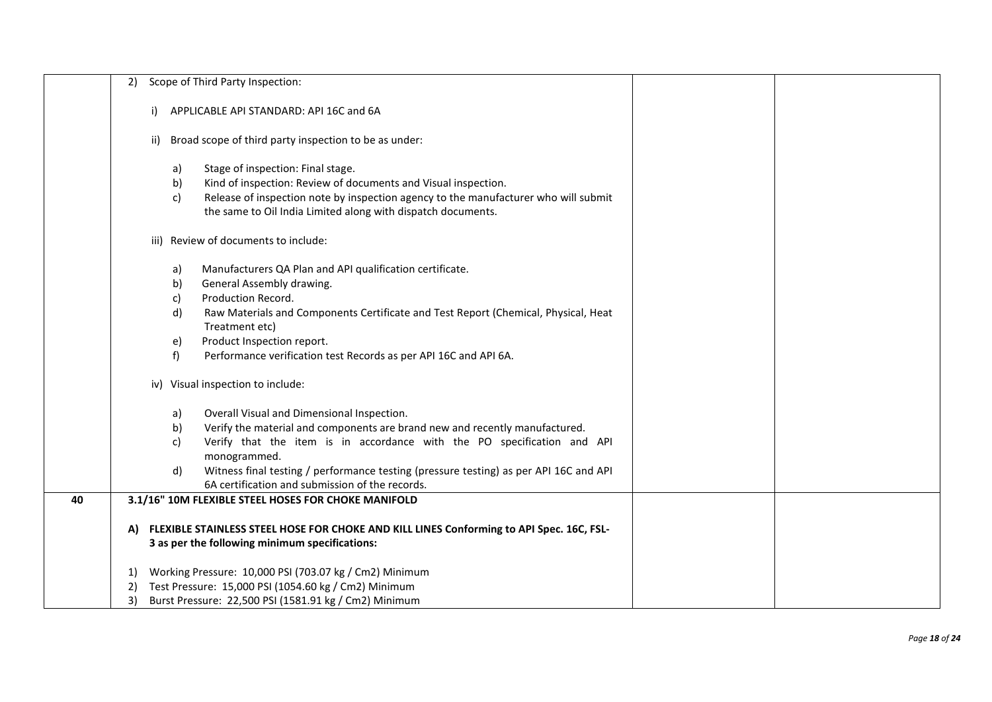|    | Scope of Third Party Inspection:<br>2)                                                                                                                                                                                                                                                                                                                                                   |  |  |
|----|------------------------------------------------------------------------------------------------------------------------------------------------------------------------------------------------------------------------------------------------------------------------------------------------------------------------------------------------------------------------------------------|--|--|
|    | APPLICABLE API STANDARD: API 16C and 6A<br>i)                                                                                                                                                                                                                                                                                                                                            |  |  |
|    | Broad scope of third party inspection to be as under:<br>ii)                                                                                                                                                                                                                                                                                                                             |  |  |
|    | Stage of inspection: Final stage.<br>a)<br>Kind of inspection: Review of documents and Visual inspection.<br>b)<br>Release of inspection note by inspection agency to the manufacturer who will submit<br>c)<br>the same to Oil India Limited along with dispatch documents.                                                                                                             |  |  |
|    | iii) Review of documents to include:                                                                                                                                                                                                                                                                                                                                                     |  |  |
|    | Manufacturers QA Plan and API qualification certificate.<br>a)<br>b)<br>General Assembly drawing.<br>Production Record.<br>c)<br>d)<br>Raw Materials and Components Certificate and Test Report (Chemical, Physical, Heat<br>Treatment etc)<br>Product Inspection report.<br>e)<br>f)<br>Performance verification test Records as per API 16C and API 6A.                                |  |  |
|    | iv) Visual inspection to include:                                                                                                                                                                                                                                                                                                                                                        |  |  |
|    | Overall Visual and Dimensional Inspection.<br>a)<br>Verify the material and components are brand new and recently manufactured.<br>b)<br>Verify that the item is in accordance with the PO specification and API<br>c)<br>monogrammed.<br>d)<br>Witness final testing / performance testing (pressure testing) as per API 16C and API<br>6A certification and submission of the records. |  |  |
| 40 | 3.1/16" 10M FLEXIBLE STEEL HOSES FOR CHOKE MANIFOLD<br>FLEXIBLE STAINLESS STEEL HOSE FOR CHOKE AND KILL LINES Conforming to API Spec. 16C, FSL-<br>A)<br>3 as per the following minimum specifications:                                                                                                                                                                                  |  |  |
|    | Working Pressure: 10,000 PSI (703.07 kg / Cm2) Minimum<br>1)<br>Test Pressure: 15,000 PSI (1054.60 kg / Cm2) Minimum<br>2)<br>Burst Pressure: 22,500 PSI (1581.91 kg / Cm2) Minimum<br>3)                                                                                                                                                                                                |  |  |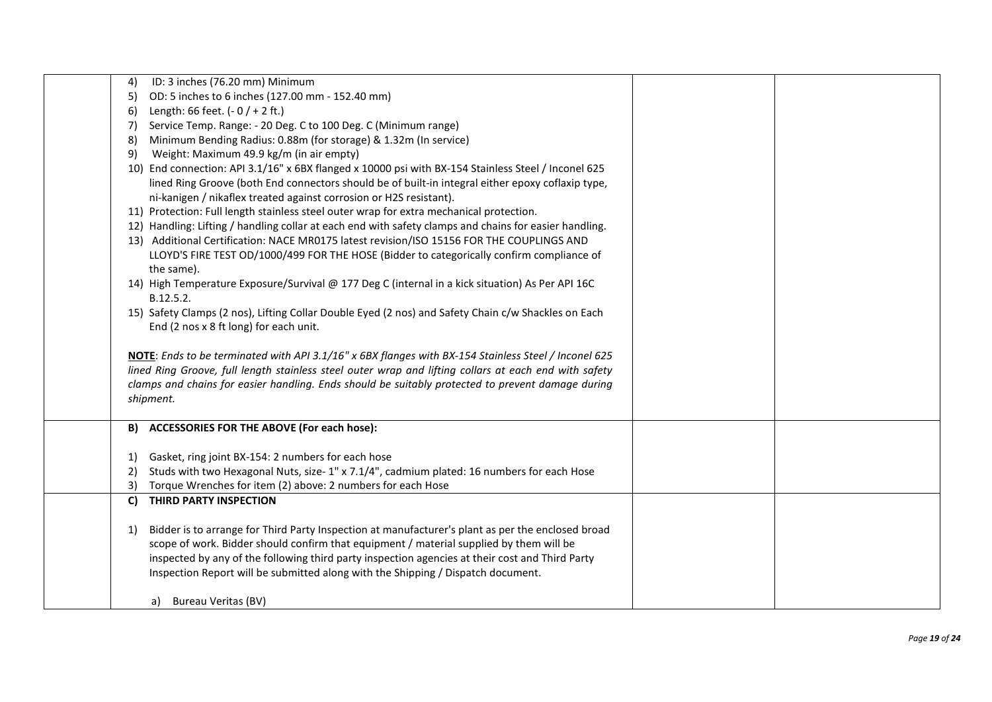| ID: 3 inches (76.20 mm) Minimum<br>4)                                                                             |  |
|-------------------------------------------------------------------------------------------------------------------|--|
| OD: 5 inches to 6 inches (127.00 mm - 152.40 mm)<br>5)                                                            |  |
| Length: 66 feet. $(-0/+2$ ft.)<br><sup>6)</sup>                                                                   |  |
| Service Temp. Range: - 20 Deg. C to 100 Deg. C (Minimum range)<br>7)                                              |  |
| Minimum Bending Radius: 0.88m (for storage) & 1.32m (In service)<br>8)                                            |  |
| Weight: Maximum 49.9 kg/m (in air empty)<br>9)                                                                    |  |
| 10) End connection: API 3.1/16" x 6BX flanged x 10000 psi with BX-154 Stainless Steel / Inconel 625               |  |
| lined Ring Groove (both End connectors should be of built-in integral either epoxy coflaxip type,                 |  |
| ni-kanigen / nikaflex treated against corrosion or H2S resistant).                                                |  |
| 11) Protection: Full length stainless steel outer wrap for extra mechanical protection.                           |  |
| 12) Handling: Lifting / handling collar at each end with safety clamps and chains for easier handling.            |  |
| 13) Additional Certification: NACE MR0175 latest revision/ISO 15156 FOR THE COUPLINGS AND                         |  |
| LLOYD'S FIRE TEST OD/1000/499 FOR THE HOSE (Bidder to categorically confirm compliance of                         |  |
| the same).                                                                                                        |  |
| 14) High Temperature Exposure/Survival @ 177 Deg C (internal in a kick situation) As Per API 16C                  |  |
| B.12.5.2.                                                                                                         |  |
| 15) Safety Clamps (2 nos), Lifting Collar Double Eyed (2 nos) and Safety Chain c/w Shackles on Each               |  |
| End (2 nos x 8 ft long) for each unit.                                                                            |  |
|                                                                                                                   |  |
| NOTE: Ends to be terminated with API 3.1/16" x 6BX flanges with BX-154 Stainless Steel / Inconel 625              |  |
| lined Ring Groove, full length stainless steel outer wrap and lifting collars at each end with safety             |  |
| clamps and chains for easier handling. Ends should be suitably protected to prevent damage during                 |  |
|                                                                                                                   |  |
| shipment.                                                                                                         |  |
|                                                                                                                   |  |
| B) ACCESSORIES FOR THE ABOVE (For each hose):                                                                     |  |
|                                                                                                                   |  |
| Gasket, ring joint BX-154: 2 numbers for each hose<br>1)                                                          |  |
| Studs with two Hexagonal Nuts, size-1" x 7.1/4", cadmium plated: 16 numbers for each Hose<br>2)                   |  |
| Torque Wrenches for item (2) above: 2 numbers for each Hose<br>3)                                                 |  |
| THIRD PARTY INSPECTION<br>C)                                                                                      |  |
|                                                                                                                   |  |
| Bidder is to arrange for Third Party Inspection at manufacturer's plant as per the enclosed broad<br><sup>1</sup> |  |
| scope of work. Bidder should confirm that equipment / material supplied by them will be                           |  |
| inspected by any of the following third party inspection agencies at their cost and Third Party                   |  |
| Inspection Report will be submitted along with the Shipping / Dispatch document.                                  |  |
|                                                                                                                   |  |
| Bureau Veritas (BV)<br>a)                                                                                         |  |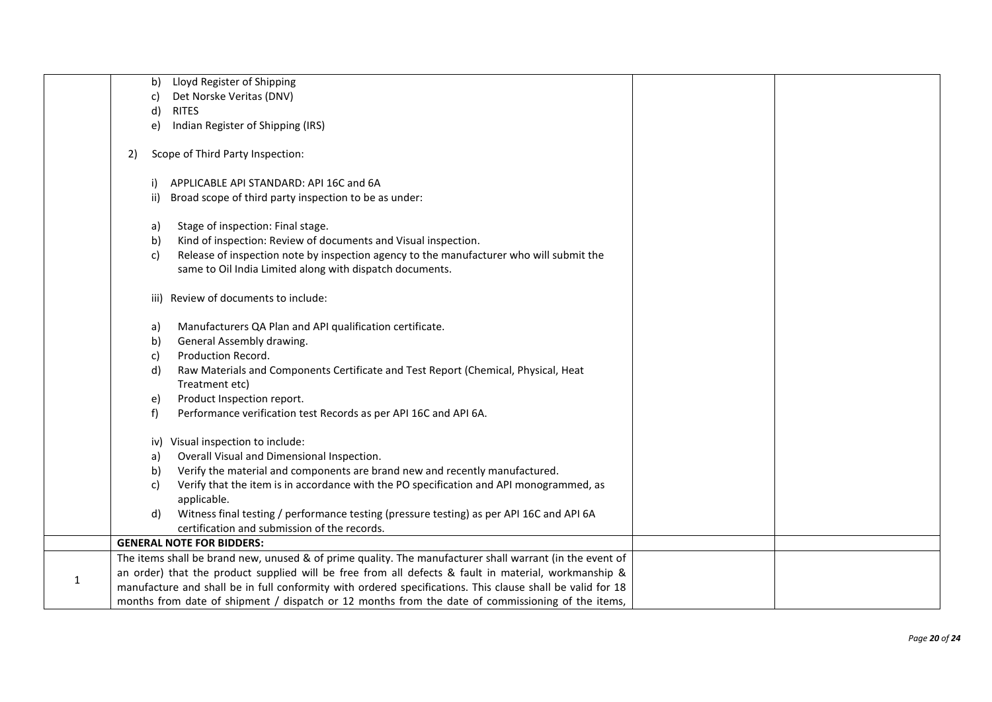|   | Lloyd Register of Shipping<br>b)                                                                           |  |
|---|------------------------------------------------------------------------------------------------------------|--|
|   | Det Norske Veritas (DNV)                                                                                   |  |
|   | C)                                                                                                         |  |
|   | d)<br><b>RITES</b><br>Indian Register of Shipping (IRS)                                                    |  |
|   | e)                                                                                                         |  |
|   | Scope of Third Party Inspection:<br>2)                                                                     |  |
|   | APPLICABLE API STANDARD: API 16C and 6A<br>i)                                                              |  |
|   | Broad scope of third party inspection to be as under:<br>ii)                                               |  |
|   | Stage of inspection: Final stage.<br>a)                                                                    |  |
|   | Kind of inspection: Review of documents and Visual inspection.<br>b)                                       |  |
|   | Release of inspection note by inspection agency to the manufacturer who will submit the<br>c)              |  |
|   | same to Oil India Limited along with dispatch documents.                                                   |  |
|   | iii) Review of documents to include:                                                                       |  |
|   | Manufacturers QA Plan and API qualification certificate.<br>a)                                             |  |
|   | General Assembly drawing.<br>b)                                                                            |  |
|   | Production Record.<br>C)                                                                                   |  |
|   | Raw Materials and Components Certificate and Test Report (Chemical, Physical, Heat<br>d)                   |  |
|   | Treatment etc)                                                                                             |  |
|   | Product Inspection report.<br>e)                                                                           |  |
|   | Performance verification test Records as per API 16C and API 6A.<br>f)                                     |  |
|   | iv) Visual inspection to include:                                                                          |  |
|   | Overall Visual and Dimensional Inspection.<br>a)                                                           |  |
|   | Verify the material and components are brand new and recently manufactured.<br>b)                          |  |
|   | Verify that the item is in accordance with the PO specification and API monogrammed, as<br>C)              |  |
|   | applicable.                                                                                                |  |
|   | Witness final testing / performance testing (pressure testing) as per API 16C and API 6A<br>d)             |  |
|   | certification and submission of the records.                                                               |  |
|   | <b>GENERAL NOTE FOR BIDDERS:</b>                                                                           |  |
|   | The items shall be brand new, unused & of prime quality. The manufacturer shall warrant (in the event of   |  |
|   | an order) that the product supplied will be free from all defects & fault in material, workmanship &       |  |
| 1 | manufacture and shall be in full conformity with ordered specifications. This clause shall be valid for 18 |  |
|   | months from date of shipment / dispatch or 12 months from the date of commissioning of the items,          |  |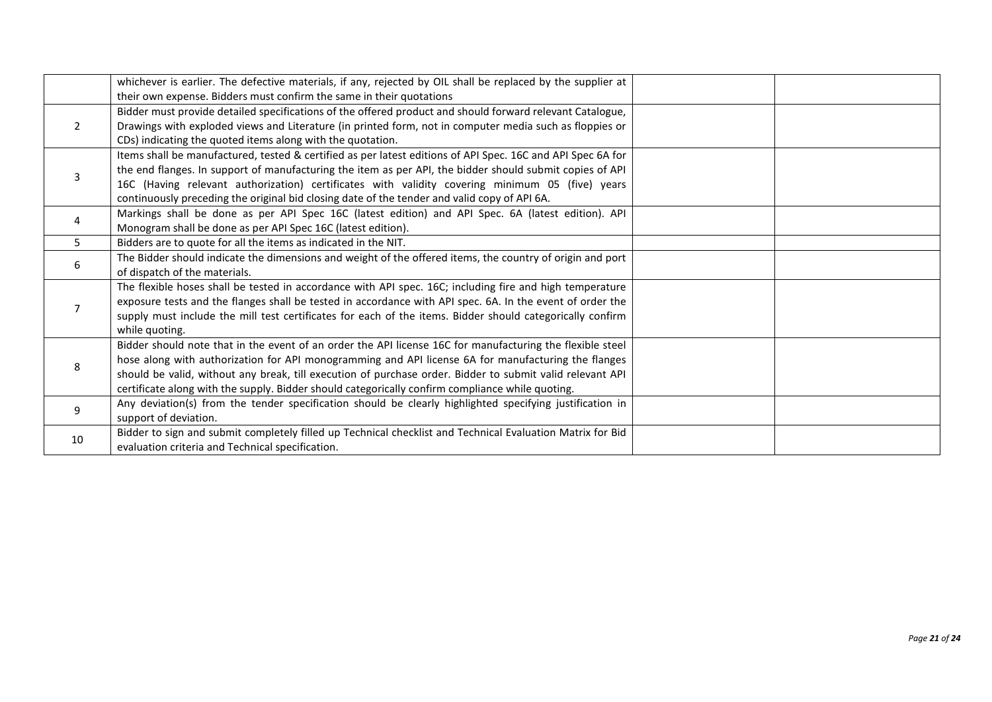|    | whichever is earlier. The defective materials, if any, rejected by OIL shall be replaced by the supplier at |  |
|----|-------------------------------------------------------------------------------------------------------------|--|
|    | their own expense. Bidders must confirm the same in their quotations                                        |  |
|    | Bidder must provide detailed specifications of the offered product and should forward relevant Catalogue,   |  |
| 2  | Drawings with exploded views and Literature (in printed form, not in computer media such as floppies or     |  |
|    | CDs) indicating the quoted items along with the quotation.                                                  |  |
|    | Items shall be manufactured, tested & certified as per latest editions of API Spec. 16C and API Spec 6A for |  |
| 3  | the end flanges. In support of manufacturing the item as per API, the bidder should submit copies of API    |  |
|    | 16C (Having relevant authorization) certificates with validity covering minimum 05 (five) years             |  |
|    | continuously preceding the original bid closing date of the tender and valid copy of API 6A.                |  |
| 4  | Markings shall be done as per API Spec 16C (latest edition) and API Spec. 6A (latest edition). API          |  |
|    | Monogram shall be done as per API Spec 16C (latest edition).                                                |  |
| 5  | Bidders are to quote for all the items as indicated in the NIT.                                             |  |
|    | The Bidder should indicate the dimensions and weight of the offered items, the country of origin and port   |  |
| 6  | of dispatch of the materials.                                                                               |  |
|    | The flexible hoses shall be tested in accordance with API spec. 16C; including fire and high temperature    |  |
|    | exposure tests and the flanges shall be tested in accordance with API spec. 6A. In the event of order the   |  |
|    | supply must include the mill test certificates for each of the items. Bidder should categorically confirm   |  |
|    | while quoting.                                                                                              |  |
|    | Bidder should note that in the event of an order the API license 16C for manufacturing the flexible steel   |  |
|    | hose along with authorization for API monogramming and API license 6A for manufacturing the flanges         |  |
| 8  | should be valid, without any break, till execution of purchase order. Bidder to submit valid relevant API   |  |
|    | certificate along with the supply. Bidder should categorically confirm compliance while quoting.            |  |
|    | Any deviation(s) from the tender specification should be clearly highlighted specifying justification in    |  |
| 9  | support of deviation.                                                                                       |  |
|    | Bidder to sign and submit completely filled up Technical checklist and Technical Evaluation Matrix for Bid  |  |
| 10 | evaluation criteria and Technical specification.                                                            |  |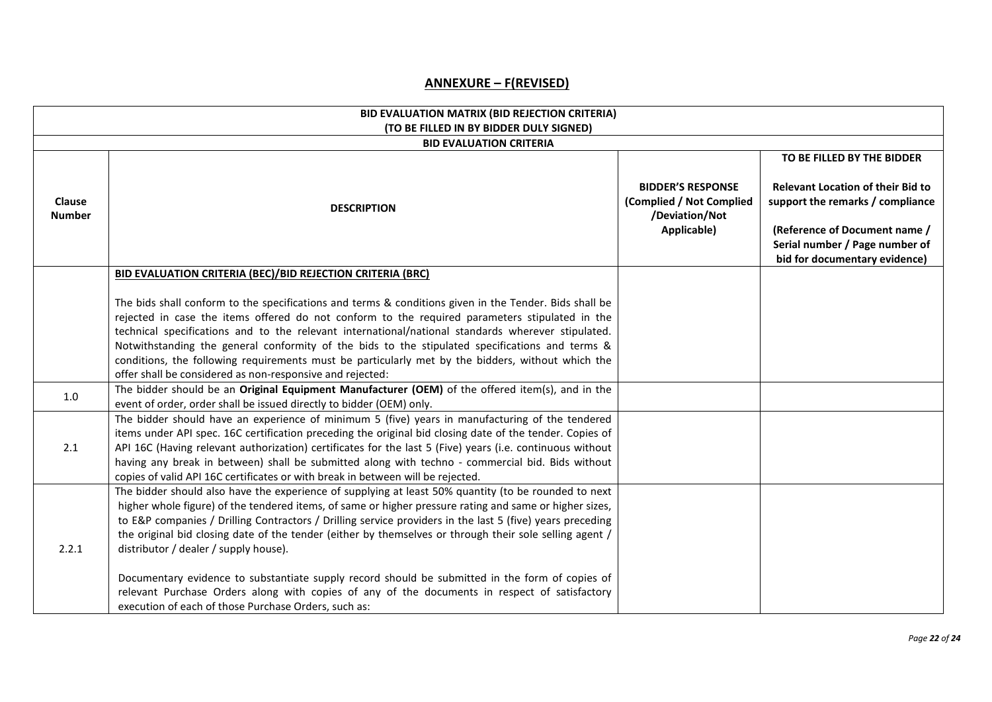## **ANNEXURE – F(REVISED)**

| BID EVALUATION MATRIX (BID REJECTION CRITERIA) |                                                                                                                                                                                                                                                                                                                                                                                                                                                                                                                                                                                                                                                                                                                                              |                                                           |                                                                                                                                      |  |  |
|------------------------------------------------|----------------------------------------------------------------------------------------------------------------------------------------------------------------------------------------------------------------------------------------------------------------------------------------------------------------------------------------------------------------------------------------------------------------------------------------------------------------------------------------------------------------------------------------------------------------------------------------------------------------------------------------------------------------------------------------------------------------------------------------------|-----------------------------------------------------------|--------------------------------------------------------------------------------------------------------------------------------------|--|--|
|                                                | (TO BE FILLED IN BY BIDDER DULY SIGNED)<br><b>BID EVALUATION CRITERIA</b>                                                                                                                                                                                                                                                                                                                                                                                                                                                                                                                                                                                                                                                                    |                                                           |                                                                                                                                      |  |  |
|                                                |                                                                                                                                                                                                                                                                                                                                                                                                                                                                                                                                                                                                                                                                                                                                              | <b>BIDDER'S RESPONSE</b>                                  | TO BE FILLED BY THE BIDDER<br><b>Relevant Location of their Bid to</b>                                                               |  |  |
| <b>Clause</b><br><b>Number</b>                 | <b>DESCRIPTION</b>                                                                                                                                                                                                                                                                                                                                                                                                                                                                                                                                                                                                                                                                                                                           | (Complied / Not Complied<br>/Deviation/Not<br>Applicable) | support the remarks / compliance<br>(Reference of Document name /<br>Serial number / Page number of<br>bid for documentary evidence) |  |  |
|                                                | BID EVALUATION CRITERIA (BEC)/BID REJECTION CRITERIA (BRC)                                                                                                                                                                                                                                                                                                                                                                                                                                                                                                                                                                                                                                                                                   |                                                           |                                                                                                                                      |  |  |
|                                                | The bids shall conform to the specifications and terms & conditions given in the Tender. Bids shall be<br>rejected in case the items offered do not conform to the required parameters stipulated in the<br>technical specifications and to the relevant international/national standards wherever stipulated.<br>Notwithstanding the general conformity of the bids to the stipulated specifications and terms &<br>conditions, the following requirements must be particularly met by the bidders, without which the<br>offer shall be considered as non-responsive and rejected:                                                                                                                                                          |                                                           |                                                                                                                                      |  |  |
| 1.0                                            | The bidder should be an Original Equipment Manufacturer (OEM) of the offered item(s), and in the<br>event of order, order shall be issued directly to bidder (OEM) only.                                                                                                                                                                                                                                                                                                                                                                                                                                                                                                                                                                     |                                                           |                                                                                                                                      |  |  |
| 2.1                                            | The bidder should have an experience of minimum 5 (five) years in manufacturing of the tendered<br>items under API spec. 16C certification preceding the original bid closing date of the tender. Copies of<br>API 16C (Having relevant authorization) certificates for the last 5 (Five) years (i.e. continuous without<br>having any break in between) shall be submitted along with techno - commercial bid. Bids without<br>copies of valid API 16C certificates or with break in between will be rejected.                                                                                                                                                                                                                              |                                                           |                                                                                                                                      |  |  |
| 2.2.1                                          | The bidder should also have the experience of supplying at least 50% quantity (to be rounded to next<br>higher whole figure) of the tendered items, of same or higher pressure rating and same or higher sizes,<br>to E&P companies / Drilling Contractors / Drilling service providers in the last 5 (five) years preceding<br>the original bid closing date of the tender (either by themselves or through their sole selling agent /<br>distributor / dealer / supply house).<br>Documentary evidence to substantiate supply record should be submitted in the form of copies of<br>relevant Purchase Orders along with copies of any of the documents in respect of satisfactory<br>execution of each of those Purchase Orders, such as: |                                                           |                                                                                                                                      |  |  |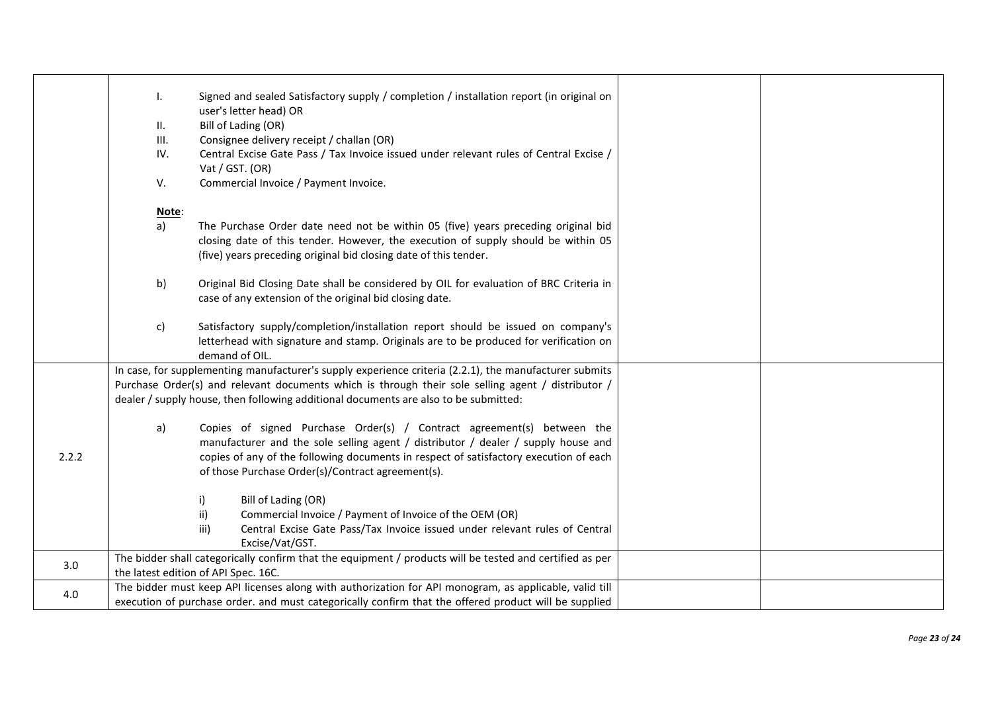|       | I.<br>Н.<br>III.<br>IV.<br>V. | Signed and sealed Satisfactory supply / completion / installation report (in original on<br>user's letter head) OR<br>Bill of Lading (OR)<br>Consignee delivery receipt / challan (OR)<br>Central Excise Gate Pass / Tax Invoice issued under relevant rules of Central Excise /<br>Vat / GST. (OR)<br>Commercial Invoice / Payment Invoice. |  |
|-------|-------------------------------|----------------------------------------------------------------------------------------------------------------------------------------------------------------------------------------------------------------------------------------------------------------------------------------------------------------------------------------------|--|
|       |                               |                                                                                                                                                                                                                                                                                                                                              |  |
|       | Note:<br>a)                   | The Purchase Order date need not be within 05 (five) years preceding original bid<br>closing date of this tender. However, the execution of supply should be within 05<br>(five) years preceding original bid closing date of this tender.                                                                                                   |  |
|       | b)                            | Original Bid Closing Date shall be considered by OIL for evaluation of BRC Criteria in<br>case of any extension of the original bid closing date.                                                                                                                                                                                            |  |
|       | c)                            | Satisfactory supply/completion/installation report should be issued on company's<br>letterhead with signature and stamp. Originals are to be produced for verification on<br>demand of OIL.                                                                                                                                                  |  |
|       |                               | In case, for supplementing manufacturer's supply experience criteria (2.2.1), the manufacturer submits<br>Purchase Order(s) and relevant documents which is through their sole selling agent / distributor /<br>dealer / supply house, then following additional documents are also to be submitted:                                         |  |
| 2.2.2 | a)                            | Copies of signed Purchase Order(s) / Contract agreement(s) between the<br>manufacturer and the sole selling agent / distributor / dealer / supply house and<br>copies of any of the following documents in respect of satisfactory execution of each<br>of those Purchase Order(s)/Contract agreement(s).                                    |  |
|       |                               | Bill of Lading (OR)<br>i)<br>Commercial Invoice / Payment of Invoice of the OEM (OR)<br>ii)<br>Central Excise Gate Pass/Tax Invoice issued under relevant rules of Central<br>iii)<br>Excise/Vat/GST.                                                                                                                                        |  |
| 3.0   |                               | The bidder shall categorically confirm that the equipment / products will be tested and certified as per<br>the latest edition of API Spec. 16C.                                                                                                                                                                                             |  |
| 4.0   |                               | The bidder must keep API licenses along with authorization for API monogram, as applicable, valid till<br>execution of purchase order. and must categorically confirm that the offered product will be supplied                                                                                                                              |  |